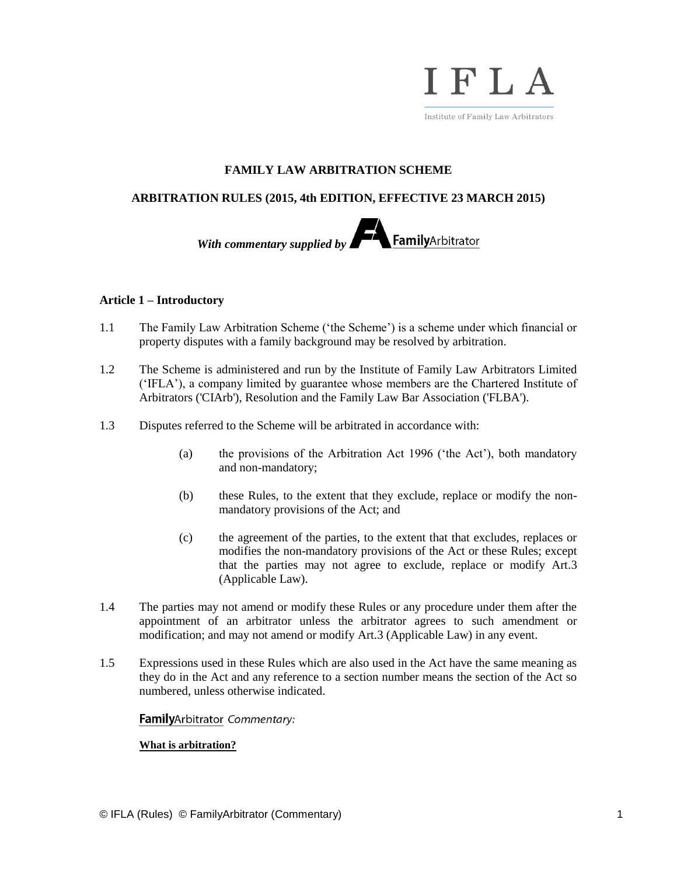

# **FAMILY LAW ARBITRATION SCHEME**

# **ARBITRATION RULES (2015, 4th EDITION, EFFECTIVE 23 MARCH 2015)**



# **Article 1 – Introductory**

- 1.1 The Family Law Arbitration Scheme ('the Scheme') is a scheme under which financial or property disputes with a family background may be resolved by arbitration.
- 1.2 The Scheme is administered and run by the Institute of Family Law Arbitrators Limited ('IFLA'), a company limited by guarantee whose members are the Chartered Institute of Arbitrators ('CIArb'), Resolution and the Family Law Bar Association ('FLBA').
- 1.3 Disputes referred to the Scheme will be arbitrated in accordance with:
	- (a) the provisions of the Arbitration Act 1996 ('the Act'), both mandatory and non-mandatory;
	- (b) these Rules, to the extent that they exclude, replace or modify the nonmandatory provisions of the Act; and
	- (c) the agreement of the parties, to the extent that that excludes, replaces or modifies the non-mandatory provisions of the Act or these Rules; except that the parties may not agree to exclude, replace or modify Art.3 (Applicable Law).
- 1.4 The parties may not amend or modify these Rules or any procedure under them after the appointment of an arbitrator unless the arbitrator agrees to such amendment or modification; and may not amend or modify Art.3 (Applicable Law) in any event.
- 1.5 Expressions used in these Rules which are also used in the Act have the same meaning as they do in the Act and any reference to a section number means the section of the Act so numbered, unless otherwise indicated.

# FamilyArbitrator Commentary:

# **What is arbitration?**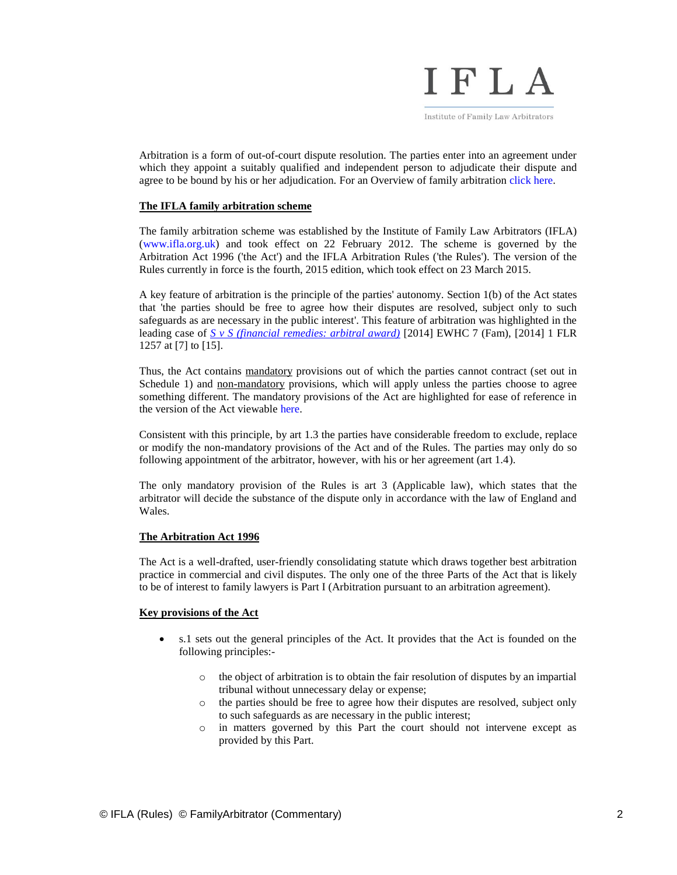

Arbitration is a form of out-of-court dispute resolution. The parties enter into an agreement under which they appoint a suitably qualified and independent person to adjudicate their dispute and agree to be bound by his or her adjudication. For an Overview of family arbitration [click here.](http://www.familyarbitrator.com/family-arbitration/overview)

#### **The IFLA family arbitration scheme**

The family arbitration scheme was established by the Institute of Family Law Arbitrators (IFLA) [\(www.ifla.org.uk\)](http://www.ifla.org.uk/) and took effect on 22 February 2012. The scheme is governed by the Arbitration Act 1996 ('the Act') and the IFLA Arbitration Rules ('the Rules'). The version of the Rules currently in force is the fourth, 2015 edition, which took effect on 23 March 2015.

A key feature of arbitration is the principle of the parties' autonomy. Section 1(b) of the Act states that 'the parties should be free to agree how their disputes are resolved, subject only to such safeguards as are necessary in the public interest'. This feature of arbitration was highlighted in the leading case of *S v S (financial [remedies: arbitral award\)](http://www.bailii.org/ew/cases/EWHC/Fam/2014/7.html)* [2014] EWHC 7 (Fam), [2014] 1 FLR 1257 at [7] to [15].

Thus, the Act contains mandatory provisions out of which the parties cannot contract (set out in Schedule 1) and non-mandatory provisions, which will apply unless the parties choose to agree something different. The mandatory provisions of the Act are highlighted for ease of reference in the version of the Act viewabl[e here.](http://www.familyarbitrator.com/family-arbitration/the-act)

Consistent with this principle, by art 1.3 the parties have considerable freedom to exclude, replace or modify the non-mandatory provisions of the Act and of the Rules. The parties may only do so following appointment of the arbitrator, however, with his or her agreement (art 1.4).

The only mandatory provision of the Rules is art 3 (Applicable law), which states that the arbitrator will decide the substance of the dispute only in accordance with the law of England and Wales.

#### **The Arbitration Act 1996**

The Act is a well-drafted, user-friendly consolidating statute which draws together best arbitration practice in commercial and civil disputes. The only one of the three Parts of the Act that is likely to be of interest to family lawyers is Part I (Arbitration pursuant to an arbitration agreement).

#### **Key provisions of the Act**

- s.1 sets out the general principles of the Act. It provides that the Act is founded on the following principles:
	- o the object of arbitration is to obtain the fair resolution of disputes by an impartial tribunal without unnecessary delay or expense;
	- o the parties should be free to agree how their disputes are resolved, subject only to such safeguards as are necessary in the public interest;
	- o in matters governed by this Part the court should not intervene except as provided by this Part.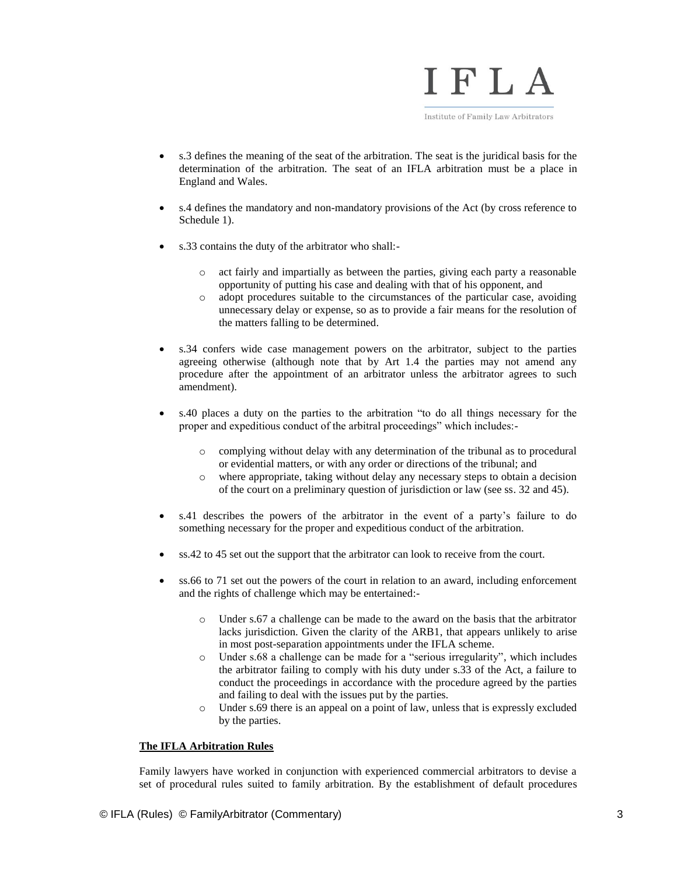

- s.3 defines the meaning of the seat of the arbitration. The seat is the juridical basis for the determination of the arbitration. The seat of an IFLA arbitration must be a place in England and Wales.
- s.4 defines the mandatory and non-mandatory provisions of the Act (by cross reference to Schedule 1).
- s.33 contains the duty of the arbitrator who shall:
	- o act fairly and impartially as between the parties, giving each party a reasonable opportunity of putting his case and dealing with that of his opponent, and
	- o adopt procedures suitable to the circumstances of the particular case, avoiding unnecessary delay or expense, so as to provide a fair means for the resolution of the matters falling to be determined.
- s.34 confers wide case management powers on the arbitrator, subject to the parties agreeing otherwise (although note that by Art 1.4 the parties may not amend any procedure after the appointment of an arbitrator unless the arbitrator agrees to such amendment).
- s.40 places a duty on the parties to the arbitration "to do all things necessary for the proper and expeditious conduct of the arbitral proceedings" which includes:
	- o complying without delay with any determination of the tribunal as to procedural or evidential matters, or with any order or directions of the tribunal; and
	- o where appropriate, taking without delay any necessary steps to obtain a decision of the court on a preliminary question of jurisdiction or law (see ss. 32 and 45).
- s.41 describes the powers of the arbitrator in the event of a party's failure to do something necessary for the proper and expeditious conduct of the arbitration.
- ss.42 to 45 set out the support that the arbitrator can look to receive from the court.
- ss.66 to 71 set out the powers of the court in relation to an award, including enforcement and the rights of challenge which may be entertained:
	- o Under s.67 a challenge can be made to the award on the basis that the arbitrator lacks jurisdiction. Given the clarity of the ARB1, that appears unlikely to arise in most post-separation appointments under the IFLA scheme.
	- o Under s.68 a challenge can be made for a "serious irregularity", which includes the arbitrator failing to comply with his duty under s.33 of the Act, a failure to conduct the proceedings in accordance with the procedure agreed by the parties and failing to deal with the issues put by the parties.
	- Under s.69 there is an appeal on a point of law, unless that is expressly excluded by the parties.

#### **The IFLA Arbitration Rules**

Family lawyers have worked in conjunction with experienced commercial arbitrators to devise a set of procedural rules suited to family arbitration. By the establishment of default procedures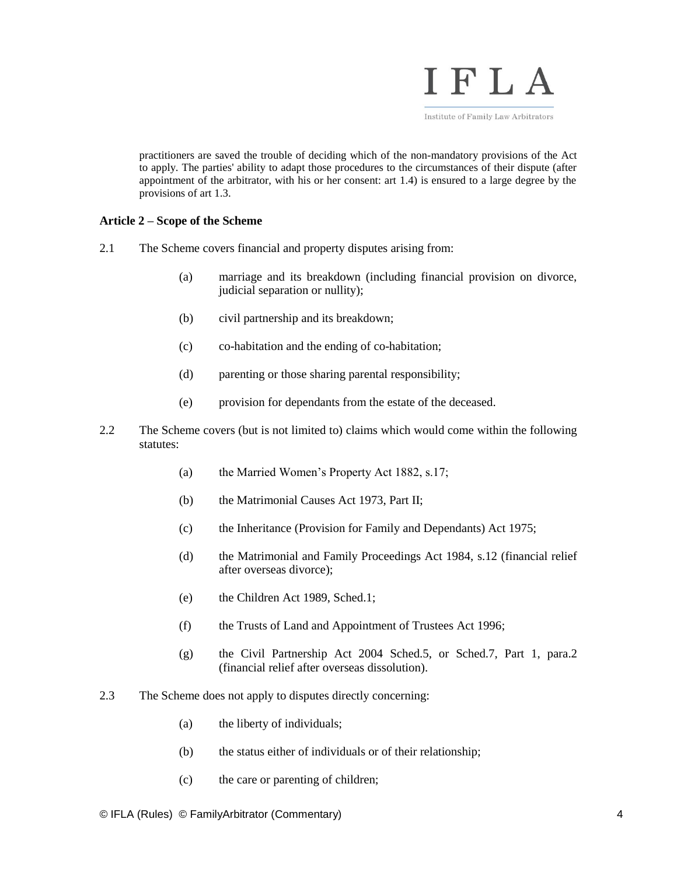

practitioners are saved the trouble of deciding which of the non-mandatory provisions of the Act to apply. The parties' ability to adapt those procedures to the circumstances of their dispute (after appointment of the arbitrator, with his or her consent: art 1.4) is ensured to a large degree by the provisions of art 1.3.

# **Article 2 – Scope of the Scheme**

- 2.1 The Scheme covers financial and property disputes arising from:
	- (a) marriage and its breakdown (including financial provision on divorce, judicial separation or nullity);
	- (b) civil partnership and its breakdown;
	- (c) co-habitation and the ending of co-habitation;
	- (d) parenting or those sharing parental responsibility;
	- (e) provision for dependants from the estate of the deceased.
- 2.2 The Scheme covers (but is not limited to) claims which would come within the following statutes:
	- (a) the Married Women's Property Act 1882, s.17;
	- (b) the Matrimonial Causes Act 1973, Part II;
	- (c) the Inheritance (Provision for Family and Dependants) Act 1975;
	- (d) the Matrimonial and Family Proceedings Act 1984, s.12 (financial relief after overseas divorce);
	- (e) the Children Act 1989, Sched.1;
	- (f) the Trusts of Land and Appointment of Trustees Act 1996;
	- (g) the Civil Partnership Act 2004 Sched.5, or Sched.7, Part 1, para.2 (financial relief after overseas dissolution).
- 2.3 The Scheme does not apply to disputes directly concerning:
	- (a) the liberty of individuals;
	- (b) the status either of individuals or of their relationship;
	- (c) the care or parenting of children;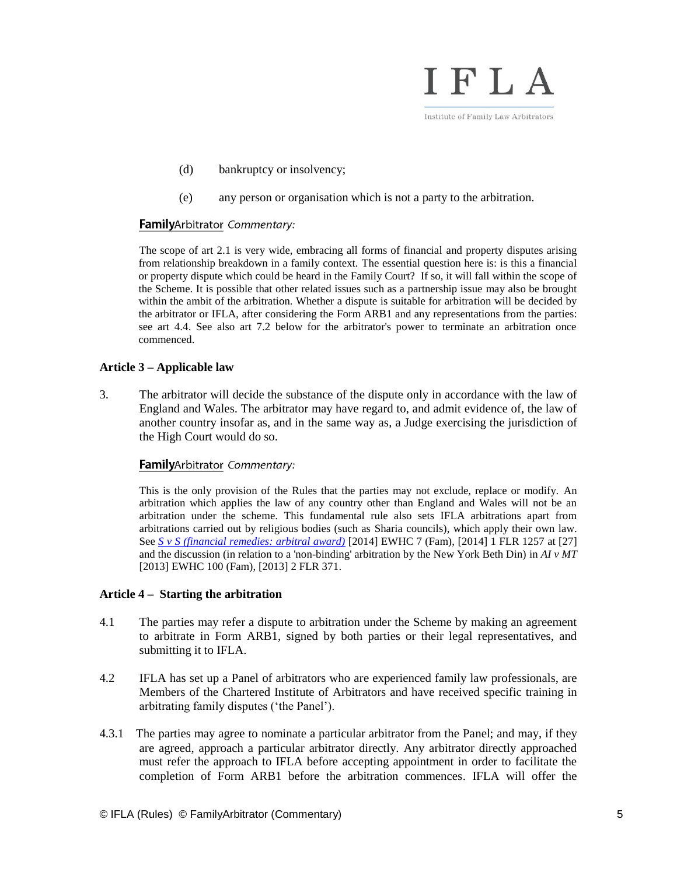

- (d) bankruptcy or insolvency;
- (e) any person or organisation which is not a party to the arbitration.

# FamilyArbitrator Commentary:

The scope of art 2.1 is very wide, embracing all forms of financial and property disputes arising from relationship breakdown in a family context. The essential question here is: is this a financial or property dispute which could be heard in the Family Court? If so, it will fall within the scope of the Scheme. It is possible that other related issues such as a partnership issue may also be brought within the ambit of the arbitration. Whether a dispute is suitable for arbitration will be decided by the arbitrator or IFLA, after considering the Form ARB1 and any representations from the parties: see art 4.4. See also art 7.2 below for the arbitrator's power to terminate an arbitration once commenced.

# **Article 3 – Applicable law**

3. The arbitrator will decide the substance of the dispute only in accordance with the law of England and Wales. The arbitrator may have regard to, and admit evidence of, the law of another country insofar as, and in the same way as, a Judge exercising the jurisdiction of the High Court would do so.

# FamilyArbitrator Commentary:

This is the only provision of the Rules that the parties may not exclude, replace or modify. An arbitration which applies the law of any country other than England and Wales will not be an arbitration under the scheme. This fundamental rule also sets IFLA arbitrations apart from arbitrations carried out by religious bodies (such as Sharia councils), which apply their own law. See *[S v S \(financial remedies: arbitral award\)](http://www.bailii.org/ew/cases/EWHC/Fam/2014/7.html)* [2014] EWHC 7 (Fam), [2014] 1 FLR 1257 at [27] and the discussion (in relation to a 'non-binding' arbitration by the New York Beth Din) in *AI v MT* [2013] EWHC 100 (Fam), [2013] 2 FLR 371.

# **Article 4 – Starting the arbitration**

- 4.1 The parties may refer a dispute to arbitration under the Scheme by making an agreement to arbitrate in Form ARB1, signed by both parties or their legal representatives, and submitting it to IFLA.
- 4.2 IFLA has set up a Panel of arbitrators who are experienced family law professionals, are Members of the Chartered Institute of Arbitrators and have received specific training in arbitrating family disputes ('the Panel').
- 4.3.1 The parties may agree to nominate a particular arbitrator from the Panel; and may, if they are agreed, approach a particular arbitrator directly. Any arbitrator directly approached must refer the approach to IFLA before accepting appointment in order to facilitate the completion of Form ARB1 before the arbitration commences. IFLA will offer the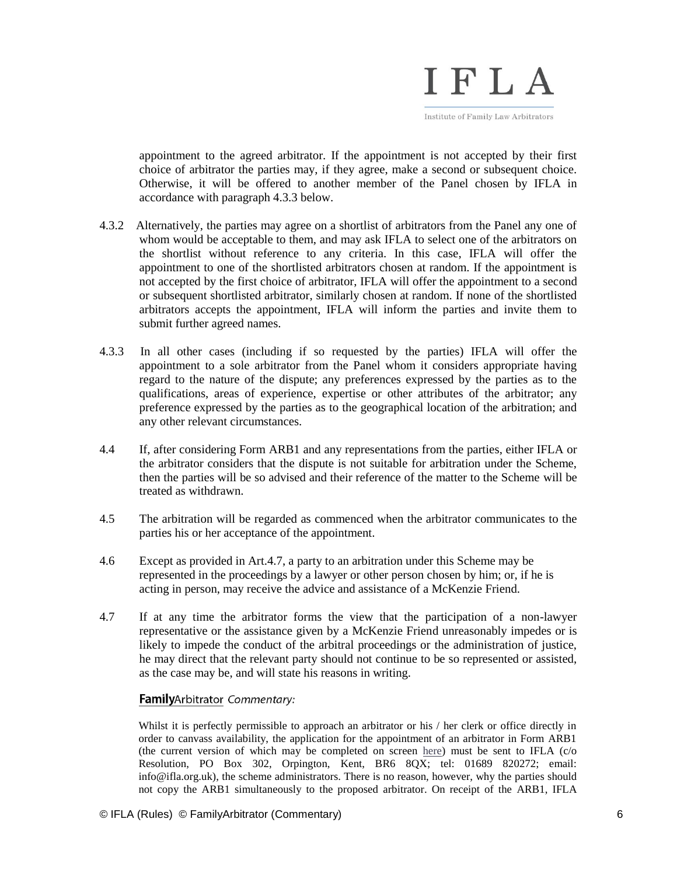

appointment to the agreed arbitrator. If the appointment is not accepted by their first choice of arbitrator the parties may, if they agree, make a second or subsequent choice. Otherwise, it will be offered to another member of the Panel chosen by IFLA in accordance with paragraph 4.3.3 below.

- 4.3.2 Alternatively, the parties may agree on a shortlist of arbitrators from the Panel any one of whom would be acceptable to them, and may ask IFLA to select one of the arbitrators on the shortlist without reference to any criteria. In this case, IFLA will offer the appointment to one of the shortlisted arbitrators chosen at random. If the appointment is not accepted by the first choice of arbitrator, IFLA will offer the appointment to a second or subsequent shortlisted arbitrator, similarly chosen at random. If none of the shortlisted arbitrators accepts the appointment, IFLA will inform the parties and invite them to submit further agreed names.
- 4.3.3 In all other cases (including if so requested by the parties) IFLA will offer the appointment to a sole arbitrator from the Panel whom it considers appropriate having regard to the nature of the dispute; any preferences expressed by the parties as to the qualifications, areas of experience, expertise or other attributes of the arbitrator; any preference expressed by the parties as to the geographical location of the arbitration; and any other relevant circumstances.
- 4.4 If, after considering Form ARB1 and any representations from the parties, either IFLA or the arbitrator considers that the dispute is not suitable for arbitration under the Scheme, then the parties will be so advised and their reference of the matter to the Scheme will be treated as withdrawn.
- 4.5 The arbitration will be regarded as commenced when the arbitrator communicates to the parties his or her acceptance of the appointment.
- 4.6 Except as provided in Art.4.7, a party to an arbitration under this Scheme may be represented in the proceedings by a lawyer or other person chosen by him; or, if he is acting in person, may receive the advice and assistance of a McKenzie Friend.
- 4.7 If at any time the arbitrator forms the view that the participation of a non-lawyer representative or the assistance given by a McKenzie Friend unreasonably impedes or is likely to impede the conduct of the arbitral proceedings or the administration of justice, he may direct that the relevant party should not continue to be so represented or assisted, as the case may be, and will state his reasons in writing.

# FamilyArbitrator Commentary:

Whilst it is perfectly permissible to approach an arbitrator or his / her clerk or office directly in order to canvass availability, the application for the appointment of an arbitrator in Form ARB1 (the current version of which may be completed on screen [here\)](http://www.familyarbitrator.com/apply-for-arbitration/form-arb1-application-form) must be sent to IFLA (c/o Resolution, PO Box 302, Orpington, Kent, BR6 8QX; tel: 01689 820272; email: info@ifla.org.uk), the scheme administrators. There is no reason, however, why the parties should not copy the ARB1 simultaneously to the proposed arbitrator. On receipt of the ARB1, IFLA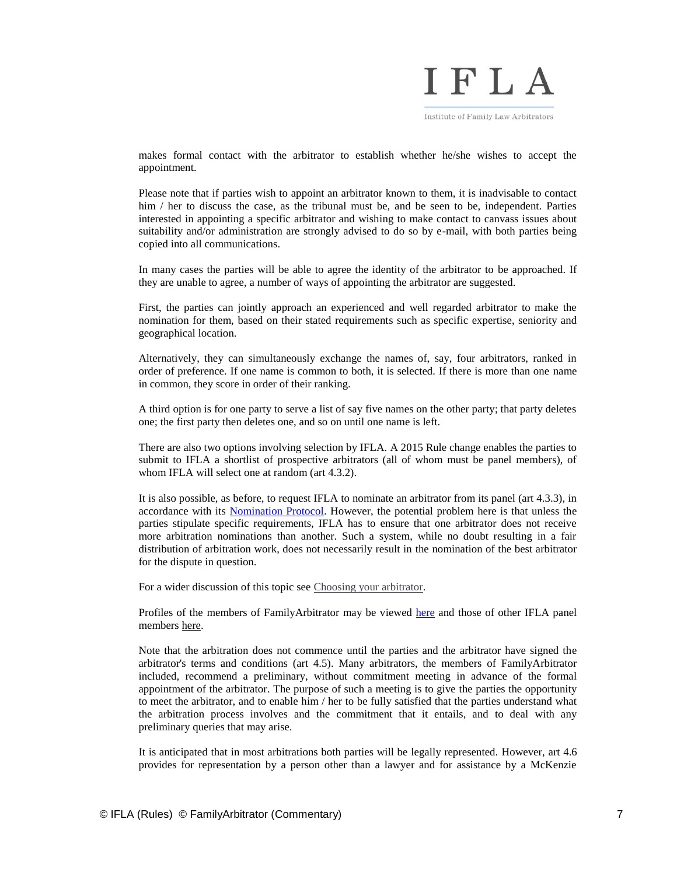

makes formal contact with the arbitrator to establish whether he/she wishes to accept the appointment.

Please note that if parties wish to appoint an arbitrator known to them, it is inadvisable to contact him / her to discuss the case, as the tribunal must be, and be seen to be, independent. Parties interested in appointing a specific arbitrator and wishing to make contact to canvass issues about suitability and/or administration are strongly advised to do so by e-mail, with both parties being copied into all communications.

In many cases the parties will be able to agree the identity of the arbitrator to be approached. If they are unable to agree, a number of ways of appointing the arbitrator are suggested.

First, the parties can jointly approach an experienced and well regarded arbitrator to make the nomination for them, based on their stated requirements such as specific expertise, seniority and geographical location.

Alternatively, they can simultaneously exchange the names of, say, four arbitrators, ranked in order of preference. If one name is common to both, it is selected. If there is more than one name in common, they score in order of their ranking.

A third option is for one party to serve a list of say five names on the other party; that party deletes one; the first party then deletes one, and so on until one name is left.

There are also two options involving selection by IFLA. A 2015 Rule change enables the parties to submit to IFLA a shortlist of prospective arbitrators (all of whom must be panel members), of whom IFLA will select one at random (art 4.3.2).

It is also possible, as before, to request IFLA to nominate an arbitrator from its panel (art 4.3.3), in accordance with its [Nomination Protocol.](http://ifla.org.uk/cms/wp-content/uploads/2015/03/Nomination-protocol-2015.pdf) However, the potential problem here is that unless the parties stipulate specific requirements, IFLA has to ensure that one arbitrator does not receive more arbitration nominations than another. Such a system, while no doubt resulting in a fair distribution of arbitration work, does not necessarily result in the nomination of the best arbitrator for the dispute in question.

For a wider discussion of this topic see [Choosing your arbitrator.](http://www.familyarbitrator.com/choosing-arbitrator)

Profiles of the members of FamilyArbitrator may be viewed [here](http://www.familyarbitrator.com/about-us) and those of other IFLA panel members [here.](http://ifla.org.uk/directory/)

Note that the arbitration does not commence until the parties and the arbitrator have signed the arbitrator's terms and conditions (art 4.5). Many arbitrators, the members of FamilyArbitrator included, recommend a preliminary, without commitment meeting in advance of the formal appointment of the arbitrator. The purpose of such a meeting is to give the parties the opportunity to meet the arbitrator, and to enable him / her to be fully satisfied that the parties understand what the arbitration process involves and the commitment that it entails, and to deal with any preliminary queries that may arise.

It is anticipated that in most arbitrations both parties will be legally represented. However, art 4.6 provides for representation by a person other than a lawyer and for assistance by a McKenzie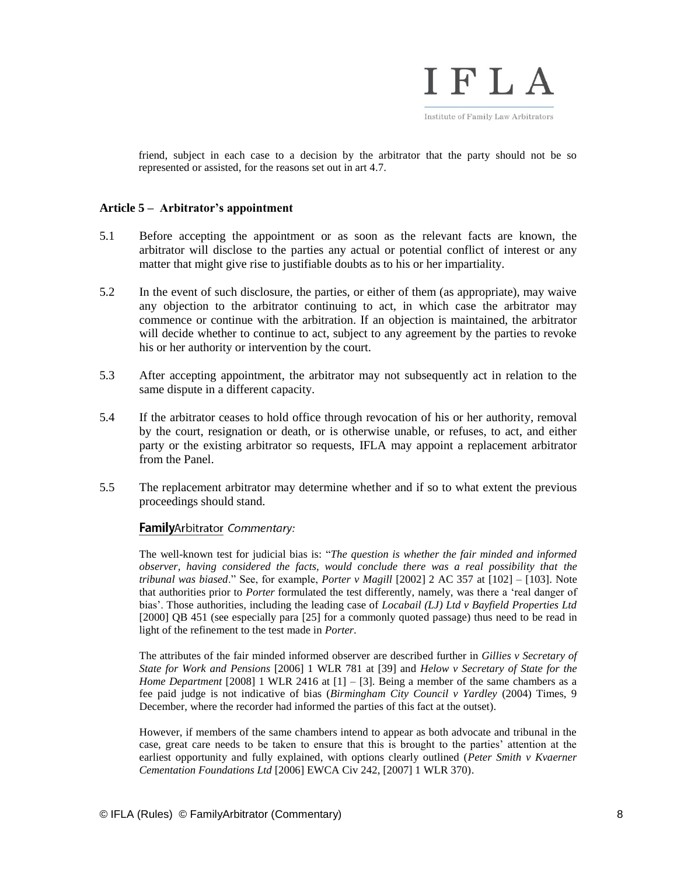

friend, subject in each case to a decision by the arbitrator that the party should not be so represented or assisted, for the reasons set out in art 4.7.

# **Article 5 – Arbitrator's appointment**

- 5.1 Before accepting the appointment or as soon as the relevant facts are known, the arbitrator will disclose to the parties any actual or potential conflict of interest or any matter that might give rise to justifiable doubts as to his or her impartiality.
- 5.2 In the event of such disclosure, the parties, or either of them (as appropriate), may waive any objection to the arbitrator continuing to act, in which case the arbitrator may commence or continue with the arbitration. If an objection is maintained, the arbitrator will decide whether to continue to act, subject to any agreement by the parties to revoke his or her authority or intervention by the court.
- 5.3 After accepting appointment, the arbitrator may not subsequently act in relation to the same dispute in a different capacity.
- 5.4 If the arbitrator ceases to hold office through revocation of his or her authority, removal by the court, resignation or death, or is otherwise unable, or refuses, to act, and either party or the existing arbitrator so requests, IFLA may appoint a replacement arbitrator from the Panel.
- 5.5 The replacement arbitrator may determine whether and if so to what extent the previous proceedings should stand.

# FamilyArbitrator Commentary:

The well-known test for judicial bias is: "*The question is whether the fair minded and informed observer, having considered the facts, would conclude there was a real possibility that the tribunal was biased*." See, for example, *Porter v Magill* [2002] 2 AC 357 at [102] – [103]. Note that authorities prior to *Porter* formulated the test differently, namely, was there a 'real danger of bias'. Those authorities, including the leading case of *Locabail (LJ) Ltd v Bayfield Properties Ltd* [2000] QB 451 (see especially para [25] for a commonly quoted passage) thus need to be read in light of the refinement to the test made in *Porter*.

The attributes of the fair minded informed observer are described further in *Gillies v Secretary of State for Work and Pensions* [2006] 1 WLR 781 at [39] and *Helow v Secretary of State for the Home Department* [2008] 1 WLR 2416 at [1] – [3]. Being a member of the same chambers as a fee paid judge is not indicative of bias (*Birmingham City Council v Yardley* (2004) Times, 9 December, where the recorder had informed the parties of this fact at the outset).

However, if members of the same chambers intend to appear as both advocate and tribunal in the case, great care needs to be taken to ensure that this is brought to the parties' attention at the earliest opportunity and fully explained, with options clearly outlined (*Peter Smith v Kvaerner Cementation Foundations Ltd* [2006] EWCA Civ 242, [2007] 1 WLR 370).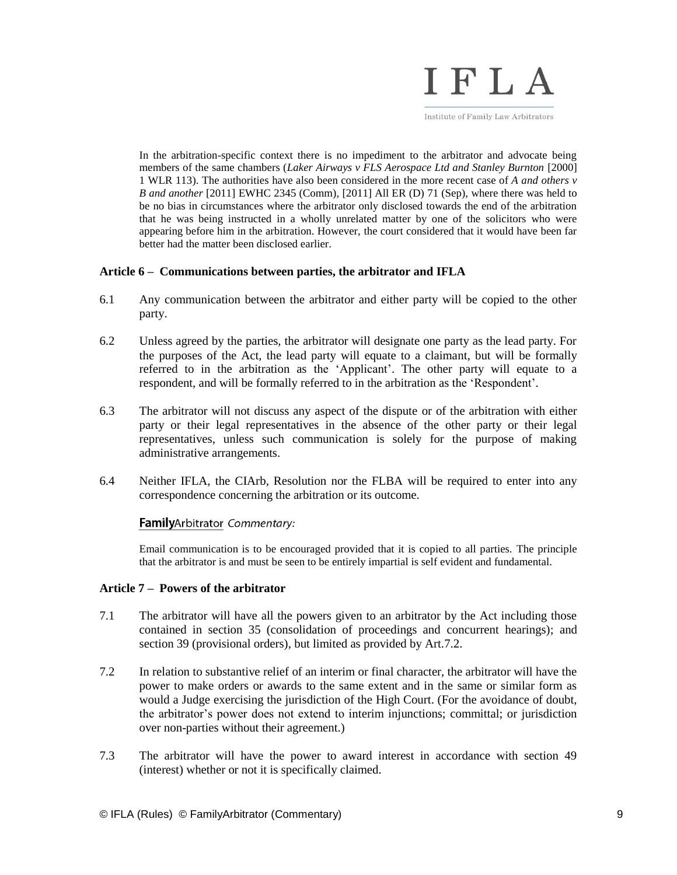

Institute of Family Law Arbitrators

In the arbitration-specific context there is no impediment to the arbitrator and advocate being members of the same chambers (*Laker Airways v FLS Aerospace Ltd and Stanley Burnton* [2000] 1 WLR 113). The authorities have also been considered in the more recent case of *A and others v B and another* [2011] EWHC 2345 (Comm), [2011] All ER (D) 71 (Sep), where there was held to be no bias in circumstances where the arbitrator only disclosed towards the end of the arbitration that he was being instructed in a wholly unrelated matter by one of the solicitors who were appearing before him in the arbitration. However, the court considered that it would have been far better had the matter been disclosed earlier.

# **Article 6 – Communications between parties, the arbitrator and IFLA**

- 6.1 Any communication between the arbitrator and either party will be copied to the other party.
- 6.2 Unless agreed by the parties, the arbitrator will designate one party as the lead party. For the purposes of the Act, the lead party will equate to a claimant, but will be formally referred to in the arbitration as the 'Applicant'. The other party will equate to a respondent, and will be formally referred to in the arbitration as the 'Respondent'.
- 6.3 The arbitrator will not discuss any aspect of the dispute or of the arbitration with either party or their legal representatives in the absence of the other party or their legal representatives, unless such communication is solely for the purpose of making administrative arrangements.
- 6.4 Neither IFLA, the CIArb, Resolution nor the FLBA will be required to enter into any correspondence concerning the arbitration or its outcome.

# FamilyArbitrator Commentary:

Email communication is to be encouraged provided that it is copied to all parties. The principle that the arbitrator is and must be seen to be entirely impartial is self evident and fundamental.

# **Article 7 – Powers of the arbitrator**

- 7.1 The arbitrator will have all the powers given to an arbitrator by the Act including those contained in section 35 (consolidation of proceedings and concurrent hearings); and section 39 (provisional orders), but limited as provided by Art.7.2.
- 7.2 In relation to substantive relief of an interim or final character, the arbitrator will have the power to make orders or awards to the same extent and in the same or similar form as would a Judge exercising the jurisdiction of the High Court. (For the avoidance of doubt, the arbitrator's power does not extend to interim injunctions; committal; or jurisdiction over non-parties without their agreement.)
- 7.3 The arbitrator will have the power to award interest in accordance with section 49 (interest) whether or not it is specifically claimed.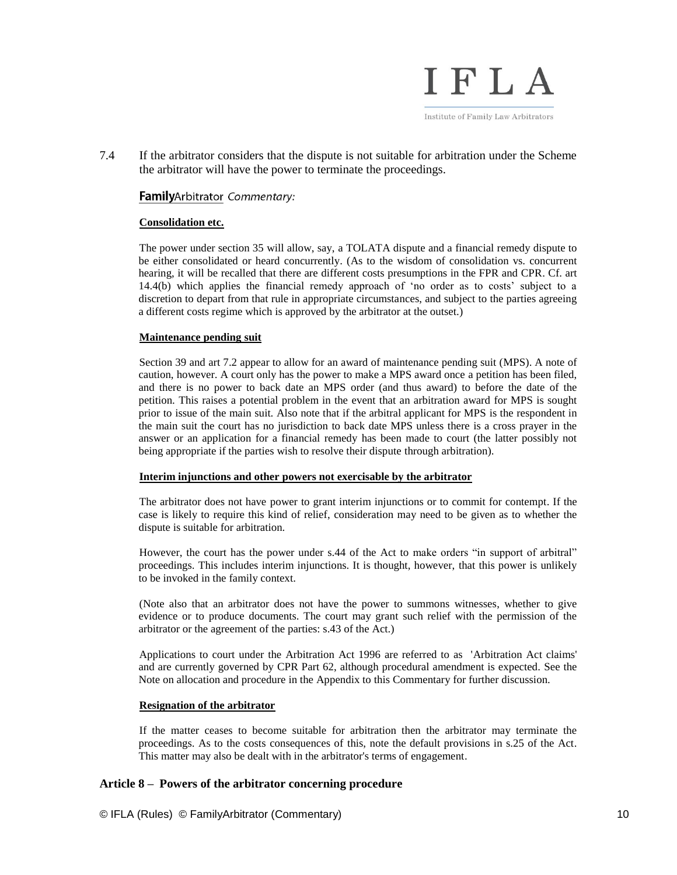

7.4 If the arbitrator considers that the dispute is not suitable for arbitration under the Scheme the arbitrator will have the power to terminate the proceedings.

# FamilyArbitrator Commentary:

### **Consolidation etc.**

The power under section 35 will allow, say, a TOLATA dispute and a financial remedy dispute to be either consolidated or heard concurrently. (As to the wisdom of consolidation vs. concurrent hearing, it will be recalled that there are different costs presumptions in the FPR and CPR. Cf. art 14.4(b) which applies the financial remedy approach of 'no order as to costs' subject to a discretion to depart from that rule in appropriate circumstances, and subject to the parties agreeing a different costs regime which is approved by the arbitrator at the outset.)

### **Maintenance pending suit**

Section 39 and art 7.2 appear to allow for an award of maintenance pending suit (MPS). A note of caution, however. A court only has the power to make a MPS award once a petition has been filed, and there is no power to back date an MPS order (and thus award) to before the date of the petition. This raises a potential problem in the event that an arbitration award for MPS is sought prior to issue of the main suit. Also note that if the arbitral applicant for MPS is the respondent in the main suit the court has no jurisdiction to back date MPS unless there is a cross prayer in the answer or an application for a financial remedy has been made to court (the latter possibly not being appropriate if the parties wish to resolve their dispute through arbitration).

#### **Interim injunctions and other powers not exercisable by the arbitrator**

The arbitrator does not have power to grant interim injunctions or to commit for contempt. If the case is likely to require this kind of relief, consideration may need to be given as to whether the dispute is suitable for arbitration.

However, the court has the power under s.44 of the Act to make orders "in support of arbitral" proceedings. This includes interim injunctions. It is thought, however, that this power is unlikely to be invoked in the family context.

(Note also that an arbitrator does not have the power to summons witnesses, whether to give evidence or to produce documents. The court may grant such relief with the permission of the arbitrator or the agreement of the parties: s.43 of the Act.)

Applications to court under the Arbitration Act 1996 are referred to as 'Arbitration Act claims' and are currently governed by CPR Part 62, although procedural amendment is expected. See the Note on allocation and procedure in the Appendix to this Commentary for further discussion.

#### **Resignation of the arbitrator**

If the matter ceases to become suitable for arbitration then the arbitrator may terminate the proceedings. As to the costs consequences of this, note the default provisions in s.25 of the Act. This matter may also be dealt with in the arbitrator's terms of engagement.

# **Article 8 – Powers of the arbitrator concerning procedure**

© IFLA (Rules) © FamilyArbitrator (Commentary) 10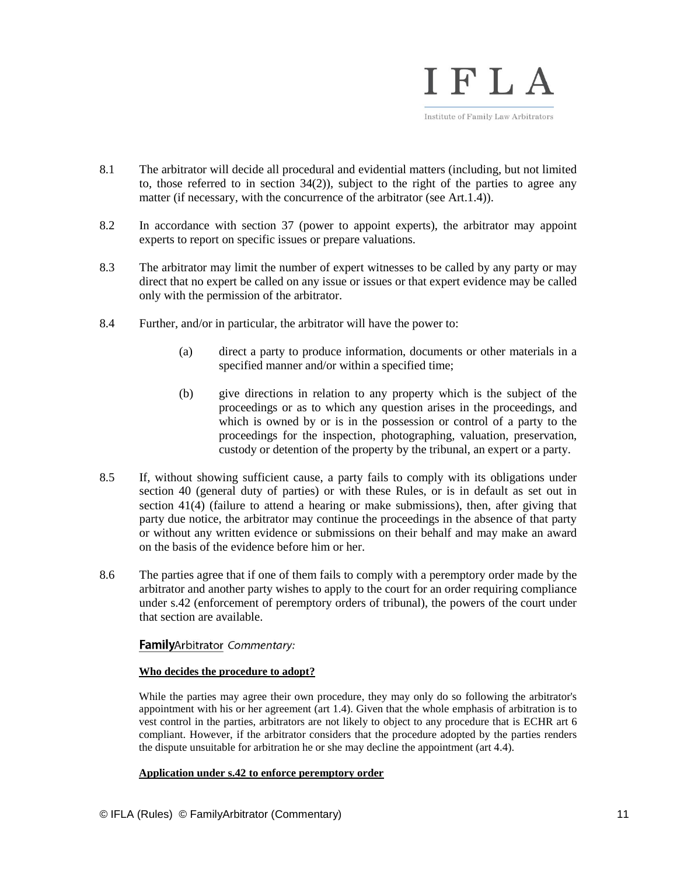

- 8.1 The arbitrator will decide all procedural and evidential matters (including, but not limited to, those referred to in section  $34(2)$ ), subject to the right of the parties to agree any matter (if necessary, with the concurrence of the arbitrator (see Art.1.4)).
- 8.2 In accordance with section 37 (power to appoint experts), the arbitrator may appoint experts to report on specific issues or prepare valuations.
- 8.3 The arbitrator may limit the number of expert witnesses to be called by any party or may direct that no expert be called on any issue or issues or that expert evidence may be called only with the permission of the arbitrator.
- 8.4 Further, and/or in particular, the arbitrator will have the power to:
	- (a) direct a party to produce information, documents or other materials in a specified manner and/or within a specified time;
	- (b) give directions in relation to any property which is the subject of the proceedings or as to which any question arises in the proceedings, and which is owned by or is in the possession or control of a party to the proceedings for the inspection, photographing, valuation, preservation, custody or detention of the property by the tribunal, an expert or a party.
- 8.5 If, without showing sufficient cause, a party fails to comply with its obligations under section 40 (general duty of parties) or with these Rules, or is in default as set out in section 41(4) (failure to attend a hearing or make submissions), then, after giving that party due notice, the arbitrator may continue the proceedings in the absence of that party or without any written evidence or submissions on their behalf and may make an award on the basis of the evidence before him or her.
- 8.6 The parties agree that if one of them fails to comply with a peremptory order made by the arbitrator and another party wishes to apply to the court for an order requiring compliance under s.42 (enforcement of peremptory orders of tribunal), the powers of the court under that section are available.

# FamilyArbitrator Commentary:

# **Who decides the procedure to adopt?**

While the parties may agree their own procedure, they may only do so following the arbitrator's appointment with his or her agreement (art 1.4). Given that the whole emphasis of arbitration is to vest control in the parties, arbitrators are not likely to object to any procedure that is ECHR art 6 compliant. However, if the arbitrator considers that the procedure adopted by the parties renders the dispute unsuitable for arbitration he or she may decline the appointment (art 4.4).

# **Application under s.42 to enforce peremptory order**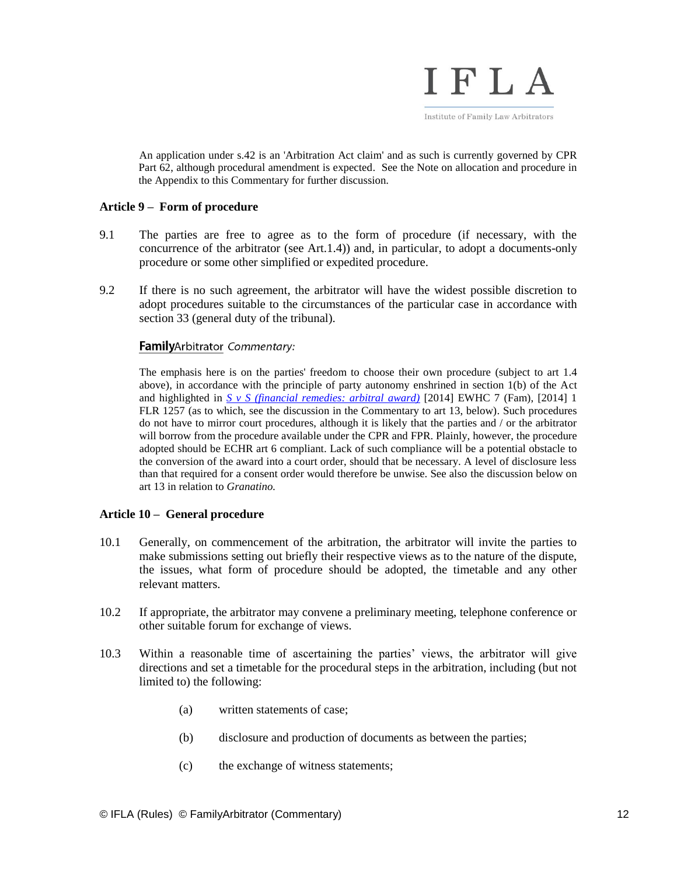

An application under s.42 is an 'Arbitration Act claim' and as such is currently governed by CPR Part 62, although procedural amendment is expected. See the Note on allocation and procedure in the Appendix to this Commentary for further discussion.

# **Article 9 – Form of procedure**

- 9.1 The parties are free to agree as to the form of procedure (if necessary, with the concurrence of the arbitrator (see Art.1.4)) and, in particular, to adopt a documents-only procedure or some other simplified or expedited procedure.
- 9.2 If there is no such agreement, the arbitrator will have the widest possible discretion to adopt procedures suitable to the circumstances of the particular case in accordance with section 33 (general duty of the tribunal).

# FamilyArbitrator Commentary:

The emphasis here is on the parties' freedom to choose their own procedure (subject to art 1.4 above), in accordance with the principle of party autonomy enshrined in section 1(b) of the Act and highlighted in *[S v S \(financial remedies: arbitral award\)](http://www.bailii.org/ew/cases/EWHC/Fam/2014/7.html)* [2014] EWHC 7 (Fam), [2014] 1 FLR 1257 (as to which, see the discussion in the Commentary to art 13, below). Such procedures do not have to mirror court procedures, although it is likely that the parties and / or the arbitrator will borrow from the procedure available under the CPR and FPR. Plainly, however, the procedure adopted should be ECHR art 6 compliant. Lack of such compliance will be a potential obstacle to the conversion of the award into a court order, should that be necessary. A level of disclosure less than that required for a consent order would therefore be unwise. See also the discussion below on art 13 in relation to *Granatino.*

# **Article 10 – General procedure**

- 10.1 Generally, on commencement of the arbitration, the arbitrator will invite the parties to make submissions setting out briefly their respective views as to the nature of the dispute, the issues, what form of procedure should be adopted, the timetable and any other relevant matters.
- 10.2 If appropriate, the arbitrator may convene a preliminary meeting, telephone conference or other suitable forum for exchange of views.
- 10.3 Within a reasonable time of ascertaining the parties' views, the arbitrator will give directions and set a timetable for the procedural steps in the arbitration, including (but not limited to) the following:
	- (a) written statements of case;
	- (b) disclosure and production of documents as between the parties;
	- (c) the exchange of witness statements;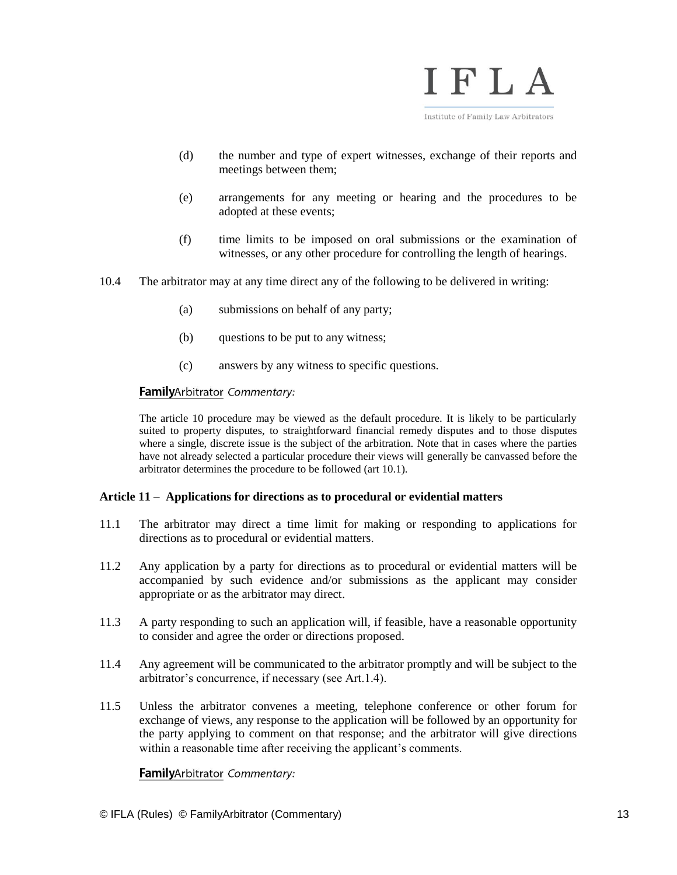

- (d) the number and type of expert witnesses, exchange of their reports and meetings between them;
- (e) arrangements for any meeting or hearing and the procedures to be adopted at these events;
- (f) time limits to be imposed on oral submissions or the examination of witnesses, or any other procedure for controlling the length of hearings.
- 10.4 The arbitrator may at any time direct any of the following to be delivered in writing:
	- (a) submissions on behalf of any party;
	- (b) questions to be put to any witness;
	- (c) answers by any witness to specific questions.

## FamilyArbitrator Commentary:

The article 10 procedure may be viewed as the default procedure. It is likely to be particularly suited to property disputes, to straightforward financial remedy disputes and to those disputes where a single, discrete issue is the subject of the arbitration. Note that in cases where the parties have not already selected a particular procedure their views will generally be canvassed before the arbitrator determines the procedure to be followed (art 10.1).

#### **Article 11 – Applications for directions as to procedural or evidential matters**

- 11.1 The arbitrator may direct a time limit for making or responding to applications for directions as to procedural or evidential matters.
- 11.2 Any application by a party for directions as to procedural or evidential matters will be accompanied by such evidence and/or submissions as the applicant may consider appropriate or as the arbitrator may direct.
- 11.3 A party responding to such an application will, if feasible, have a reasonable opportunity to consider and agree the order or directions proposed.
- 11.4 Any agreement will be communicated to the arbitrator promptly and will be subject to the arbitrator's concurrence, if necessary (see Art.1.4).
- 11.5 Unless the arbitrator convenes a meeting, telephone conference or other forum for exchange of views, any response to the application will be followed by an opportunity for the party applying to comment on that response; and the arbitrator will give directions within a reasonable time after receiving the applicant's comments.

# FamilyArbitrator Commentary: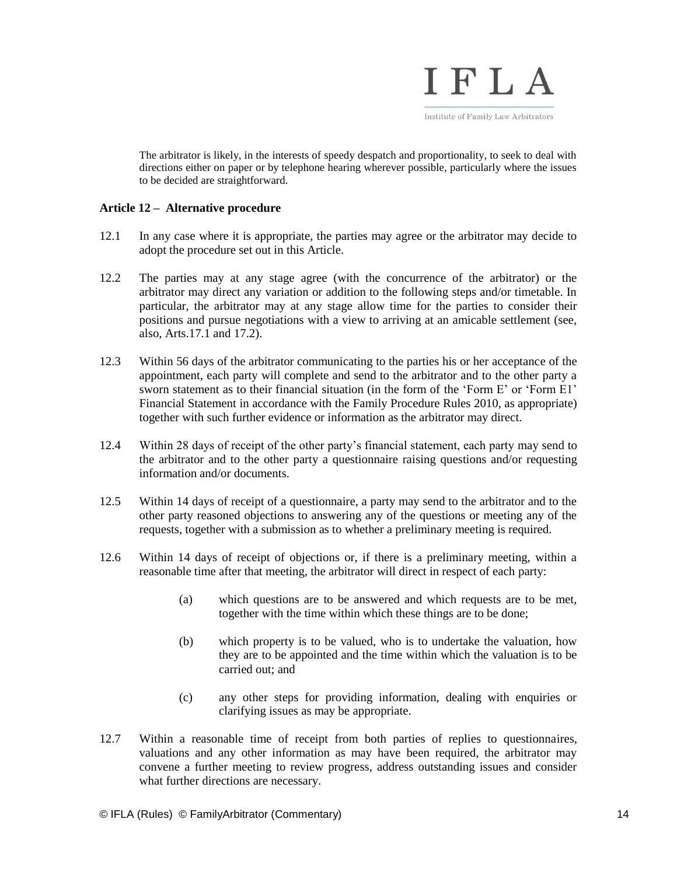

The arbitrator is likely, in the interests of speedy despatch and proportionality, to seek to deal with directions either on paper or by telephone hearing wherever possible, particularly where the issues to be decided are straightforward.

# **Article 12 – Alternative procedure**

- 12.1 In any case where it is appropriate, the parties may agree or the arbitrator may decide to adopt the procedure set out in this Article.
- 12.2 The parties may at any stage agree (with the concurrence of the arbitrator) or the arbitrator may direct any variation or addition to the following steps and/or timetable. In particular, the arbitrator may at any stage allow time for the parties to consider their positions and pursue negotiations with a view to arriving at an amicable settlement (see, also, Arts.17.1 and 17.2).
- 12.3 Within 56 days of the arbitrator communicating to the parties his or her acceptance of the appointment, each party will complete and send to the arbitrator and to the other party a sworn statement as to their financial situation (in the form of the 'Form E' or 'Form E1' Financial Statement in accordance with the Family Procedure Rules 2010, as appropriate) together with such further evidence or information as the arbitrator may direct.
- 12.4 Within 28 days of receipt of the other party's financial statement, each party may send to the arbitrator and to the other party a questionnaire raising questions and/or requesting information and/or documents.
- 12.5 Within 14 days of receipt of a questionnaire, a party may send to the arbitrator and to the other party reasoned objections to answering any of the questions or meeting any of the requests, together with a submission as to whether a preliminary meeting is required.
- 12.6 Within 14 days of receipt of objections or, if there is a preliminary meeting, within a reasonable time after that meeting, the arbitrator will direct in respect of each party:
	- (a) which questions are to be answered and which requests are to be met, together with the time within which these things are to be done;
	- (b) which property is to be valued, who is to undertake the valuation, how they are to be appointed and the time within which the valuation is to be carried out; and
	- (c) any other steps for providing information, dealing with enquiries or clarifying issues as may be appropriate.
- 12.7 Within a reasonable time of receipt from both parties of replies to questionnaires, valuations and any other information as may have been required, the arbitrator may convene a further meeting to review progress, address outstanding issues and consider what further directions are necessary.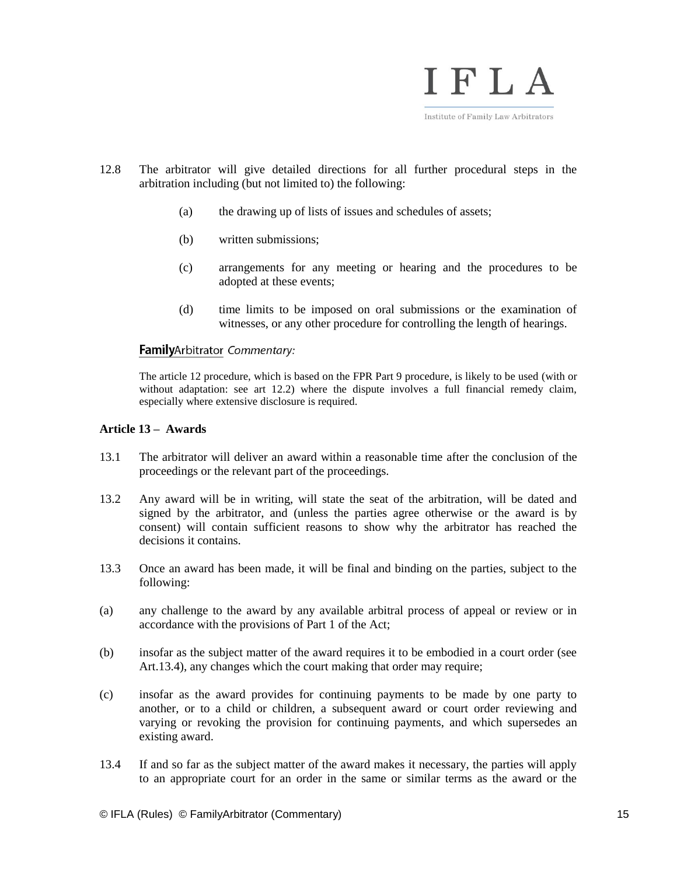

- 12.8 The arbitrator will give detailed directions for all further procedural steps in the arbitration including (but not limited to) the following:
	- (a) the drawing up of lists of issues and schedules of assets;
	- (b) written submissions;
	- (c) arrangements for any meeting or hearing and the procedures to be adopted at these events;
	- (d) time limits to be imposed on oral submissions or the examination of witnesses, or any other procedure for controlling the length of hearings.

# FamilyArbitrator Commentary:

The article 12 procedure, which is based on the FPR Part 9 procedure, is likely to be used (with or without adaptation: see art 12.2) where the dispute involves a full financial remedy claim, especially where extensive disclosure is required.

### **Article 13 – Awards**

- 13.1 The arbitrator will deliver an award within a reasonable time after the conclusion of the proceedings or the relevant part of the proceedings.
- 13.2 Any award will be in writing, will state the seat of the arbitration, will be dated and signed by the arbitrator, and (unless the parties agree otherwise or the award is by consent) will contain sufficient reasons to show why the arbitrator has reached the decisions it contains.
- 13.3 Once an award has been made, it will be final and binding on the parties, subject to the following:
- (a) any challenge to the award by any available arbitral process of appeal or review or in accordance with the provisions of Part 1 of the Act;
- (b) insofar as the subject matter of the award requires it to be embodied in a court order (see Art.13.4), any changes which the court making that order may require;
- (c) insofar as the award provides for continuing payments to be made by one party to another, or to a child or children, a subsequent award or court order reviewing and varying or revoking the provision for continuing payments, and which supersedes an existing award.
- 13.4 If and so far as the subject matter of the award makes it necessary, the parties will apply to an appropriate court for an order in the same or similar terms as the award or the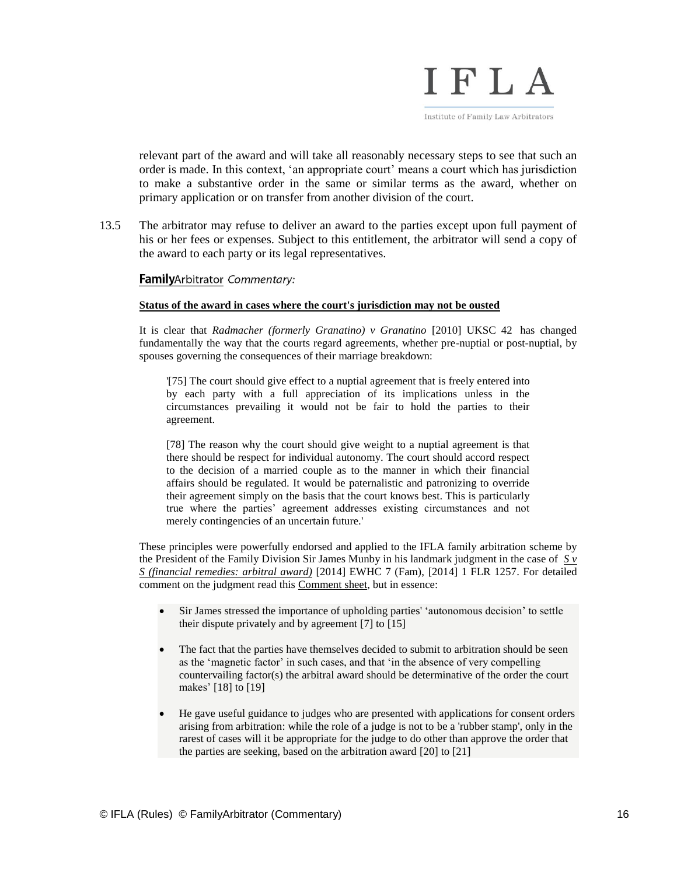

relevant part of the award and will take all reasonably necessary steps to see that such an order is made. In this context, 'an appropriate court' means a court which has jurisdiction to make a substantive order in the same or similar terms as the award, whether on primary application or on transfer from another division of the court.

13.5 The arbitrator may refuse to deliver an award to the parties except upon full payment of his or her fees or expenses. Subject to this entitlement, the arbitrator will send a copy of the award to each party or its legal representatives.

# FamilyArbitrator Commentary:

#### **Status of the award in cases where the court's jurisdiction may not be ousted**

It is clear that *[Radmacher \(formerly Granatino\) v Granatino](http://www.familylawweek.co.uk/site.aspx?i=ed68495)* [2010] UKSC 42 has changed fundamentally the way that the courts regard agreements, whether pre-nuptial or post-nuptial, by spouses governing the consequences of their marriage breakdown:

'[75] The court should give effect to a nuptial agreement that is freely entered into by each party with a full appreciation of its implications unless in the circumstances prevailing it would not be fair to hold the parties to their agreement.

[78] The reason why the court should give weight to a nuptial agreement is that there should be respect for individual autonomy. The court should accord respect to the decision of a married couple as to the manner in which their financial affairs should be regulated. It would be paternalistic and patronizing to override their agreement simply on the basis that the court knows best. This is particularly true where the parties' agreement addresses existing circumstances and not merely contingencies of an uncertain future.'

These principles were powerfully endorsed and applied to the IFLA family arbitration scheme by the President of the Family Division Sir James Munby in his landmark judgment in the case of  $S_{\nu}$ *[S \(financial remedies: arbitral award\)](http://www.bailii.org/ew/cases/EWHC/Fam/2014/7.html)* [2014] EWHC 7 (Fam), [2014] 1 FLR 1257. For detailed comment on the judgment read this [Comment sheet,](http://www.familyarbitrator.com/ifla-arbitration-works) but in essence:

- Sir James stressed the importance of upholding parties' 'autonomous decision' to settle their dispute privately and by agreement [7] to [15]
- The fact that the parties have themselves decided to submit to arbitration should be seen as the 'magnetic factor' in such cases, and that 'in the absence of very compelling countervailing factor(s) the arbitral award should be determinative of the order the court makes' [18] to [19]
- He gave useful guidance to judges who are presented with applications for consent orders arising from arbitration: while the role of a judge is not to be a 'rubber stamp', only in the rarest of cases will it be appropriate for the judge to do other than approve the order that the parties are seeking, based on the arbitration award [20] to [21]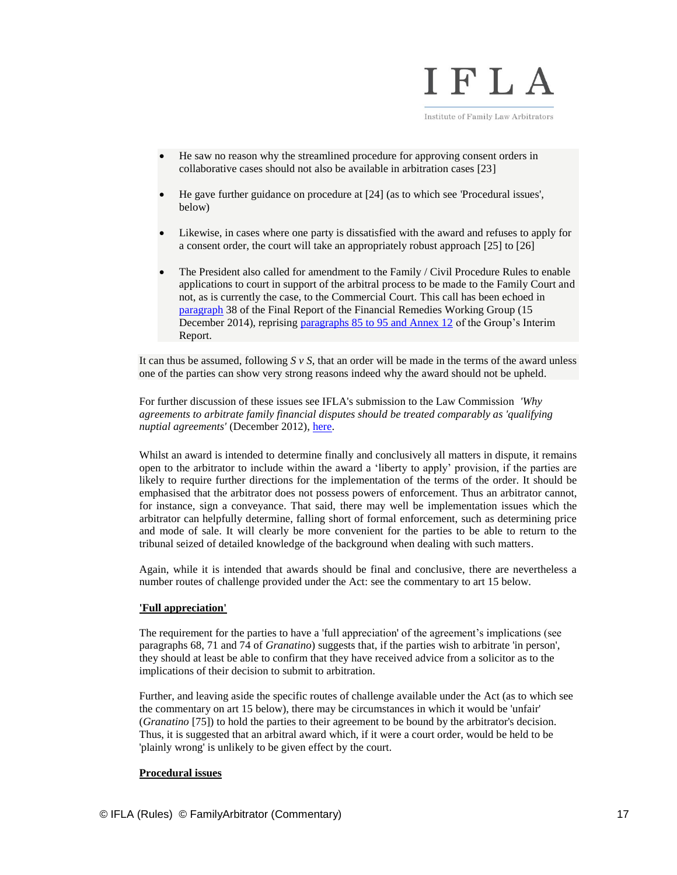

Institute of Family Law Arbitrators

- He saw no reason why the streamlined procedure for approving consent orders in collaborative cases should not also be available in arbitration cases [23]
- He gave further guidance on procedure at [24] (as to which see 'Procedural issues', below)
- Likewise, in cases where one party is dissatisfied with the award and refuses to apply for a consent order, the court will take an appropriately robust approach [25] to [26]
- The President also called for amendment to the Family / Civil Procedure Rules to enable applications to court in support of the arbitral process to be made to the Family Court and not, as is currently the case, to the Commercial Court. This call has been echoed in [paragraph](https://www.judiciary.gov.uk/publications/financial-remedies-working-group-report/) 38 of the Final Report of the Financial Remedies Working Group (15 December 2014), reprising [paragraphs 85 to 95 and Annex 12](http://www.familyarbitrator.com/arbitration-specific-extracts-report-financial-remedies-working-group) of the Group's Interim Report.

It can thus be assumed, following *S v S*, that an order will be made in the terms of the award unless one of the parties can show very strong reasons indeed why the award should not be upheld.

For further discussion of these issues see IFLA's submission to the Law Commission *'Why agreements to arbitrate family financial disputes should be treated comparably as 'qualifying nuptial agreements'* (December 2012), [here.](http://www.familyarbitrator.com/wp-content/uploads/Family-arbitration-and-qualifying-nuptial-agreements.pdf)

Whilst an award is intended to determine finally and conclusively all matters in dispute, it remains open to the arbitrator to include within the award a 'liberty to apply' provision, if the parties are likely to require further directions for the implementation of the terms of the order. It should be emphasised that the arbitrator does not possess powers of enforcement. Thus an arbitrator cannot, for instance, sign a conveyance. That said, there may well be implementation issues which the arbitrator can helpfully determine, falling short of formal enforcement, such as determining price and mode of sale. It will clearly be more convenient for the parties to be able to return to the tribunal seized of detailed knowledge of the background when dealing with such matters.

Again, while it is intended that awards should be final and conclusive, there are nevertheless a number routes of challenge provided under the Act: see the commentary to art 15 below.

# **'Full appreciation'**

The requirement for the parties to have a 'full appreciation' of the agreement's implications (see paragraphs 68, 71 and 74 of *Granatino*) suggests that, if the parties wish to arbitrate 'in person', they should at least be able to confirm that they have received advice from a solicitor as to the implications of their decision to submit to arbitration.

Further, and leaving aside the specific routes of challenge available under the Act (as to which see the commentary on art 15 below), there may be circumstances in which it would be 'unfair' (*Granatino* [75]) to hold the parties to their agreement to be bound by the arbitrator's decision. Thus, it is suggested that an arbitral award which, if it were a court order, would be held to be 'plainly wrong' is unlikely to be given effect by the court.

# **Procedural issues**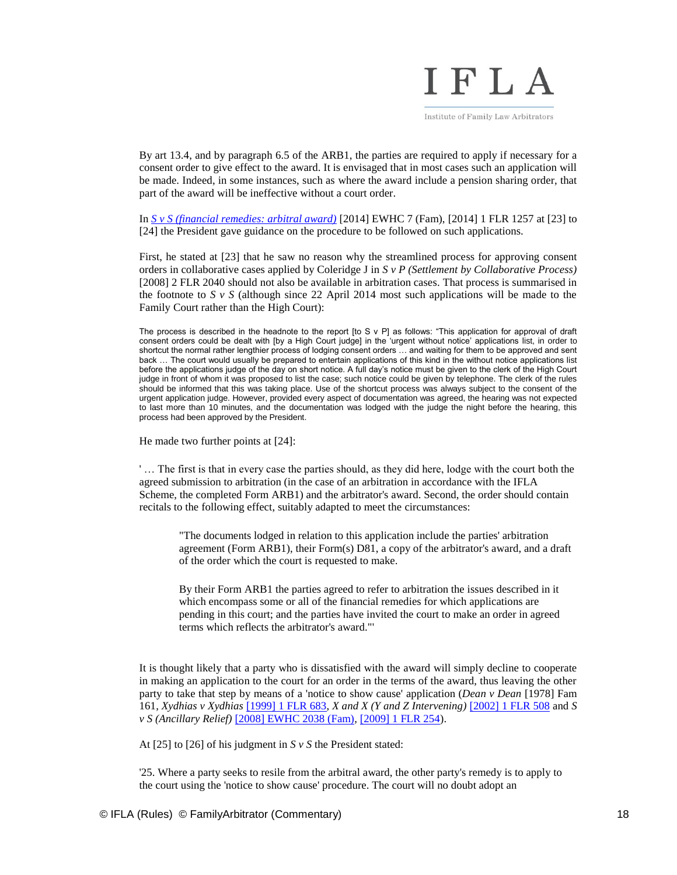

By art 13.4, and by paragraph 6.5 of the ARB1, the parties are required to apply if necessary for a consent order to give effect to the award. It is envisaged that in most cases such an application will be made. Indeed, in some instances, such as where the award include a pension sharing order, that part of the award will be ineffective without a court order.

In *[S v S \(financial remedies: arbitral award\)](http://www.bailii.org/ew/cases/EWHC/Fam/2014/7.html)* [2014] EWHC 7 (Fam), [2014] 1 FLR 1257 at [23] to [24] the President gave guidance on the procedure to be followed on such applications.

First, he stated at [23] that he saw no reason why the streamlined process for approving consent orders in collaborative cases applied by Coleridge J in *S v P (Settlement by Collaborative Process)* [2008] 2 FLR 2040 should not also be available in arbitration cases. That process is summarised in the footnote to  $S \vee S$  (although since 22 April 2014 most such applications will be made to the Family Court rather than the High Court):

The process is described in the headnote to the report  $[to S \vee P]$  as follows: "This application for approval of draft consent orders could be dealt with [by a High Court judge] in the 'urgent without notice' applications list, in order to shortcut the normal rather lengthier process of lodging consent orders … and waiting for them to be approved and sent back … The court would usually be prepared to entertain applications of this kind in the without notice applications list before the applications judge of the day on short notice. A full day's notice must be given to the clerk of the High Court judge in front of whom it was proposed to list the case; such notice could be given by telephone. The clerk of the rules should be informed that this was taking place. Use of the shortcut process was always subject to the consent of the urgent application judge. However, provided every aspect of documentation was agreed, the hearing was not expected to last more than 10 minutes, and the documentation was lodged with the judge the night before the hearing, this process had been approved by the President.

He made two further points at [24]:

' … The first is that in every case the parties should, as they did here, lodge with the court both the agreed submission to arbitration (in the case of an arbitration in accordance with the IFLA Scheme, the completed Form ARB1) and the arbitrator's award. Second, the order should contain recitals to the following effect, suitably adapted to meet the circumstances:

"The documents lodged in relation to this application include the parties' arbitration agreement (Form ARB1), their Form(s) D81, a copy of the arbitrator's award, and a draft of the order which the court is requested to make.

By their Form ARB1 the parties agreed to refer to arbitration the issues described in it which encompass some or all of the financial remedies for which applications are pending in this court; and the parties have invited the court to make an order in agreed terms which reflects the arbitrator's award."'

It is thought likely that a party who is dissatisfied with the award will simply decline to cooperate in making an application to the court for an order in the terms of the award, thus leaving the other party to take that step by means of a 'notice to show cause' application (*Dean v Dean* [1978] Fam 161, *Xydhias v Xydhias* [\[1999\] 1 FLR 683,](http://www.bailii.org/cgi-bin/redirect.cgi?path=/ew/cases/EWCA/Civ/1998/1966.html) *X and X (Y and Z Intervening)* [\[2002\] 1 FLR 508](http://www.bailii.org/cgi-bin/redirect.cgi?path=/ew/cases/EWHC/Fam/2001/11.html) and *S v S (Ancillary Relief)* [\[2008\] EWHC 2038 \(Fam\),](http://www.bailii.org/ew/cases/EWHC/Fam/2008/2038.html) [\[2009\] 1 FLR 254\)](http://www.bailii.org/cgi-bin/redirect.cgi?path=/ew/cases/EWHC/Fam/2008/2038.html).

At [25] to [26] of his judgment in *S v S* the President stated:

'25. Where a party seeks to resile from the arbitral award, the other party's remedy is to apply to the court using the 'notice to show cause' procedure. The court will no doubt adopt an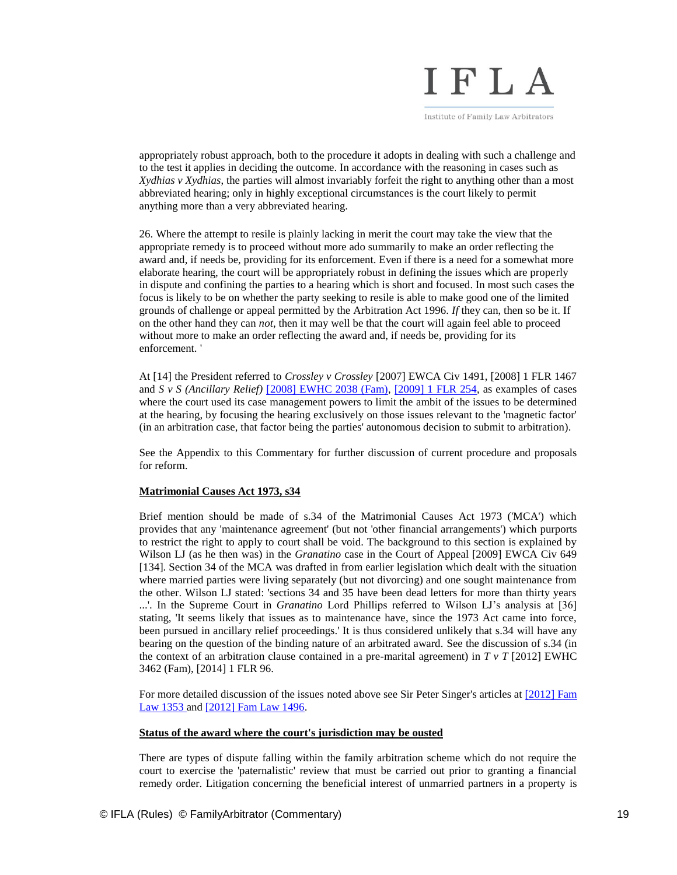

appropriately robust approach, both to the procedure it adopts in dealing with such a challenge and to the test it applies in deciding the outcome. In accordance with the reasoning in cases such as *Xydhias v Xydhias*, the parties will almost invariably forfeit the right to anything other than a most abbreviated hearing; only in highly exceptional circumstances is the court likely to permit anything more than a very abbreviated hearing.

26. Where the attempt to resile is plainly lacking in merit the court may take the view that the appropriate remedy is to proceed without more ado summarily to make an order reflecting the award and, if needs be, providing for its enforcement. Even if there is a need for a somewhat more elaborate hearing, the court will be appropriately robust in defining the issues which are properly in dispute and confining the parties to a hearing which is short and focused. In most such cases the focus is likely to be on whether the party seeking to resile is able to make good one of the limited grounds of challenge or appeal permitted by the Arbitration Act 1996. *If* they can, then so be it. If on the other hand they can *not*, then it may well be that the court will again feel able to proceed without more to make an order reflecting the award and, if needs be, providing for its enforcement. '

At [14] the President referred to *Crossley v Crossley* [2007] EWCA Civ 1491, [2008] 1 FLR 1467 and *S v S (Ancillary Relief)* [\[2008\] EWHC 2038 \(Fam\),](http://www.bailii.org/ew/cases/EWHC/Fam/2008/2038.html) [\[2009\] 1 FLR 254,](http://www.bailii.org/cgi-bin/redirect.cgi?path=/ew/cases/EWHC/Fam/2008/2038.html) as examples of cases where the court used its case management powers to limit the ambit of the issues to be determined at the hearing, by focusing the hearing exclusively on those issues relevant to the 'magnetic factor' (in an arbitration case, that factor being the parties' autonomous decision to submit to arbitration).

See the Appendix to this Commentary for further discussion of current procedure and proposals for reform.

## **Matrimonial Causes Act 1973, s34**

Brief mention should be made of s.34 of the Matrimonial Causes Act 1973 ('MCA') which provides that any 'maintenance agreement' (but not 'other financial arrangements') which purports to restrict the right to apply to court shall be void. The background to this section is explained by Wilson LJ (as he then was) in the *Granatino* case in the Court of Appeal [2009] EWCA Civ 649 [134]. Section 34 of the MCA was drafted in from earlier legislation which dealt with the situation where married parties were living separately (but not divorcing) and one sought maintenance from the other. Wilson LJ stated: 'sections 34 and 35 have been dead letters for more than thirty years ...'. In the Supreme Court in *Granatino* Lord Phillips referred to Wilson LJ's analysis at [36] stating, 'It seems likely that issues as to maintenance have, since the 1973 Act came into force, been pursued in ancillary relief proceedings.' It is thus considered unlikely that s.34 will have any bearing on the question of the binding nature of an arbitrated award. See the discussion of s.34 (in the context of an arbitration clause contained in a pre-marital agreement) in  $T \nu T$  [2012] EWHC 3462 (Fam), [2014] 1 FLR 96.

For more detailed discussion of the issues noted above see Sir Peter Singer's articles at [2012] Fam [Law 1353 a](http://www.familyarbitrator.com/wp-content/uploads/FLJ_2012_11_Singer.pdf)n[d \[2012\] Fam Law 1496.](http://www.familyarbitrator.com/wp-content/uploads/FLJ_2012_12_Singer.pdf)

#### **Status of the award where the court's jurisdiction may be ousted**

There are types of dispute falling within the family arbitration scheme which do not require the court to exercise the 'paternalistic' review that must be carried out prior to granting a financial remedy order. Litigation concerning the beneficial interest of unmarried partners in a property is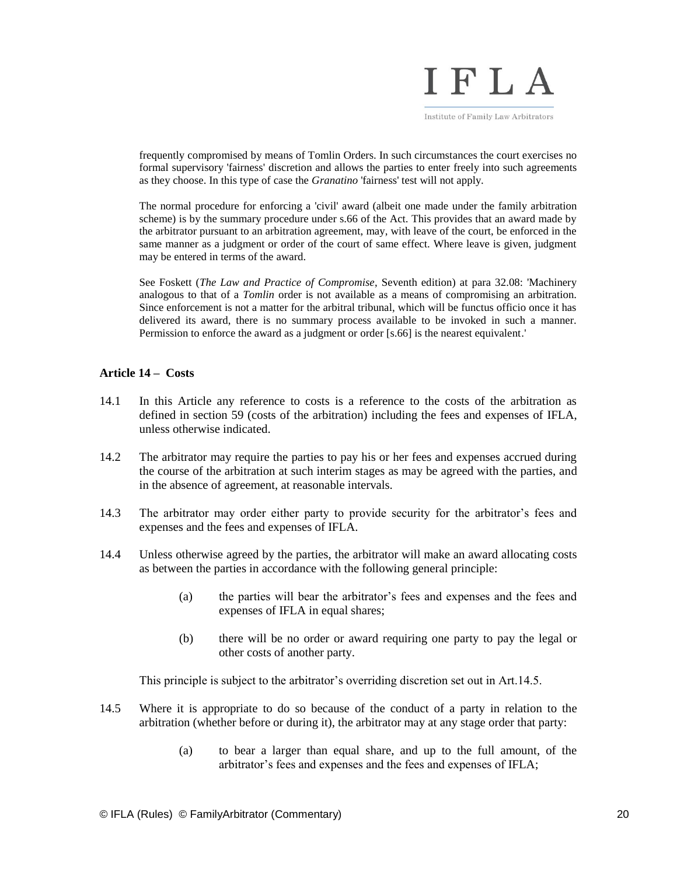

frequently compromised by means of Tomlin Orders. In such circumstances the court exercises no formal supervisory 'fairness' discretion and allows the parties to enter freely into such agreements as they choose. In this type of case the *Granatino* 'fairness' test will not apply.

The normal procedure for enforcing a 'civil' award (albeit one made under the family arbitration scheme) is by the summary procedure under s.66 of the Act. This provides that an award made by the arbitrator pursuant to an arbitration agreement, may, with leave of the court, be enforced in the same manner as a judgment or order of the court of same effect. Where leave is given, judgment may be entered in terms of the award.

See Foskett (*The Law and Practice of Compromise*, Seventh edition) at para 32.08: 'Machinery analogous to that of a *Tomlin* order is not available as a means of compromising an arbitration. Since enforcement is not a matter for the arbitral tribunal, which will be functus officio once it has delivered its award, there is no summary process available to be invoked in such a manner. Permission to enforce the award as a judgment or order [s.66] is the nearest equivalent.'

# **Article 14 – Costs**

- 14.1 In this Article any reference to costs is a reference to the costs of the arbitration as defined in section 59 (costs of the arbitration) including the fees and expenses of IFLA, unless otherwise indicated.
- 14.2 The arbitrator may require the parties to pay his or her fees and expenses accrued during the course of the arbitration at such interim stages as may be agreed with the parties, and in the absence of agreement, at reasonable intervals.
- 14.3 The arbitrator may order either party to provide security for the arbitrator's fees and expenses and the fees and expenses of IFLA.
- 14.4 Unless otherwise agreed by the parties, the arbitrator will make an award allocating costs as between the parties in accordance with the following general principle:
	- (a) the parties will bear the arbitrator's fees and expenses and the fees and expenses of IFLA in equal shares;
	- (b) there will be no order or award requiring one party to pay the legal or other costs of another party.

This principle is subject to the arbitrator's overriding discretion set out in Art.14.5.

- 14.5 Where it is appropriate to do so because of the conduct of a party in relation to the arbitration (whether before or during it), the arbitrator may at any stage order that party:
	- (a) to bear a larger than equal share, and up to the full amount, of the arbitrator's fees and expenses and the fees and expenses of IFLA;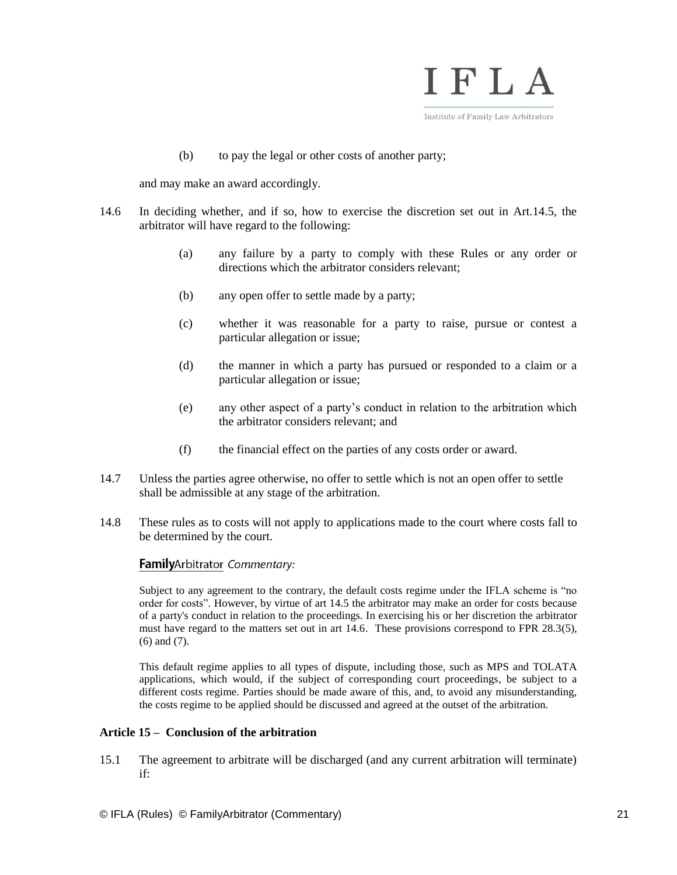

(b) to pay the legal or other costs of another party;

and may make an award accordingly.

- 14.6 In deciding whether, and if so, how to exercise the discretion set out in Art.14.5, the arbitrator will have regard to the following:
	- (a) any failure by a party to comply with these Rules or any order or directions which the arbitrator considers relevant;
	- (b) any open offer to settle made by a party;
	- (c) whether it was reasonable for a party to raise, pursue or contest a particular allegation or issue;
	- (d) the manner in which a party has pursued or responded to a claim or a particular allegation or issue;
	- (e) any other aspect of a party's conduct in relation to the arbitration which the arbitrator considers relevant; and
	- (f) the financial effect on the parties of any costs order or award.
- 14.7 Unless the parties agree otherwise, no offer to settle which is not an open offer to settle shall be admissible at any stage of the arbitration.
- 14.8 These rules as to costs will not apply to applications made to the court where costs fall to be determined by the court.

# FamilyArbitrator Commentary:

Subject to any agreement to the contrary, the default costs regime under the IFLA scheme is "no order for costs". However, by virtue of art 14.5 the arbitrator may make an order for costs because of a party's conduct in relation to the proceedings. In exercising his or her discretion the arbitrator must have regard to the matters set out in art 14.6. These provisions correspond to FPR 28.3(5), (6) and (7).

This default regime applies to all types of dispute, including those, such as MPS and TOLATA applications, which would, if the subject of corresponding court proceedings, be subject to a different costs regime. Parties should be made aware of this, and, to avoid any misunderstanding, the costs regime to be applied should be discussed and agreed at the outset of the arbitration.

# **Article 15 – Conclusion of the arbitration**

15.1 The agreement to arbitrate will be discharged (and any current arbitration will terminate) if: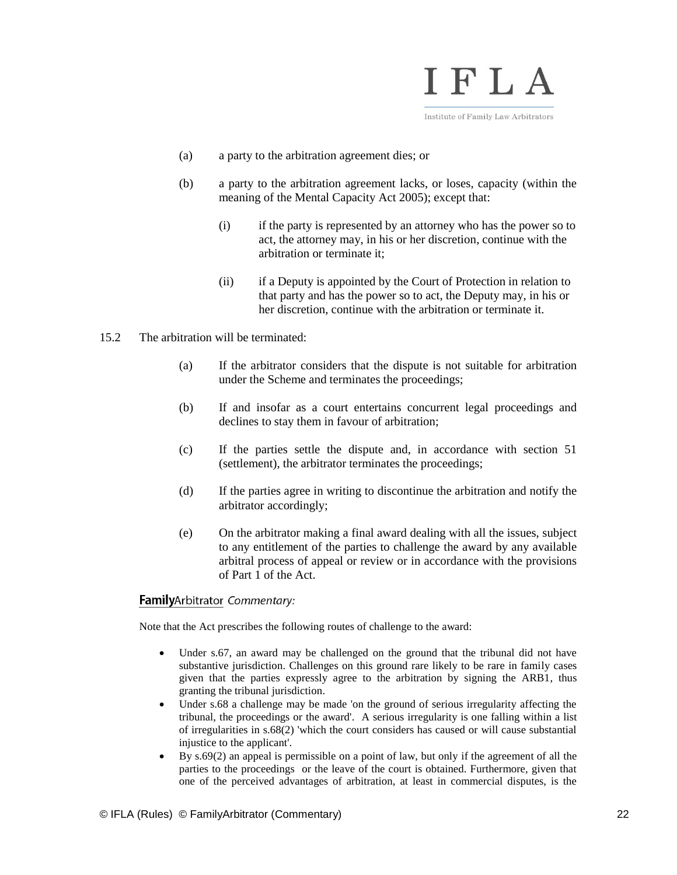

- (a) a party to the arbitration agreement dies; or
- (b) a party to the arbitration agreement lacks, or loses, capacity (within the meaning of the Mental Capacity Act 2005); except that:
	- (i) if the party is represented by an attorney who has the power so to act, the attorney may, in his or her discretion, continue with the arbitration or terminate it;
	- (ii) if a Deputy is appointed by the Court of Protection in relation to that party and has the power so to act, the Deputy may, in his or her discretion, continue with the arbitration or terminate it.
- 15.2 The arbitration will be terminated:
	- (a) If the arbitrator considers that the dispute is not suitable for arbitration under the Scheme and terminates the proceedings;
	- (b) If and insofar as a court entertains concurrent legal proceedings and declines to stay them in favour of arbitration;
	- (c) If the parties settle the dispute and, in accordance with section 51 (settlement), the arbitrator terminates the proceedings;
	- (d) If the parties agree in writing to discontinue the arbitration and notify the arbitrator accordingly;
	- (e) On the arbitrator making a final award dealing with all the issues, subject to any entitlement of the parties to challenge the award by any available arbitral process of appeal or review or in accordance with the provisions of Part 1 of the Act.

#### FamilyArbitrator Commentary:

Note that the Act prescribes the following routes of challenge to the award:

- Under s.67, an award may be challenged on the ground that the tribunal did not have substantive jurisdiction. Challenges on this ground rare likely to be rare in family cases given that the parties expressly agree to the arbitration by signing the ARB1, thus granting the tribunal jurisdiction.
- Under s.68 a challenge may be made 'on the ground of serious irregularity affecting the tribunal, the proceedings or the award'. A serious irregularity is one falling within a list of irregularities in s.68(2) 'which the court considers has caused or will cause substantial injustice to the applicant'.
- By s.69(2) an appeal is permissible on a point of law, but only if the agreement of all the parties to the proceedings or the leave of the court is obtained. Furthermore, given that one of the perceived advantages of arbitration, at least in commercial disputes, is the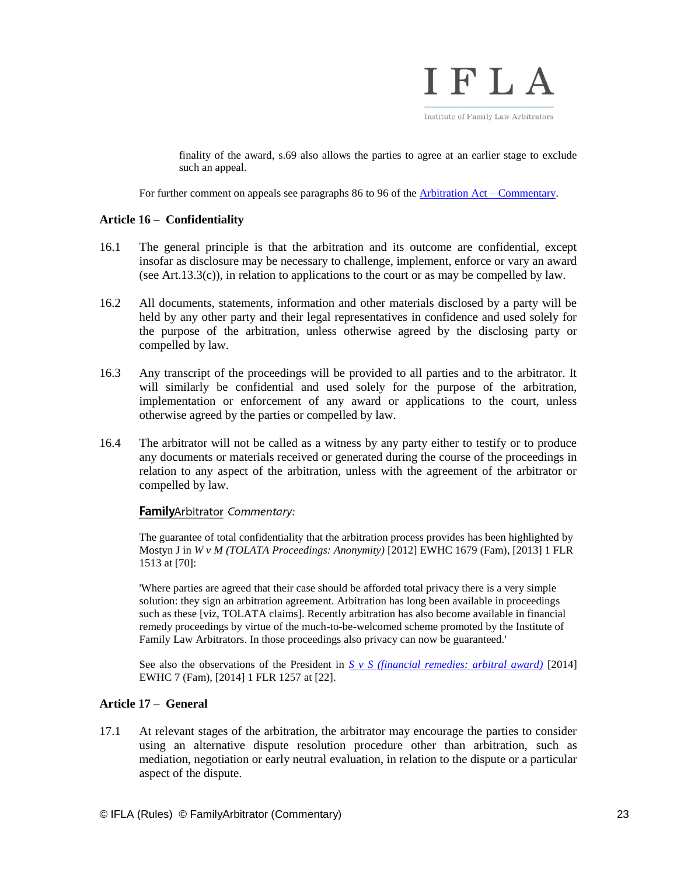

finality of the award, s.69 also allows the parties to agree at an earlier stage to exclude such an appeal.

For further comment on appeals see paragraphs 86 to 96 of the [Arbitration Act –](http://www.familyarbitrator.com/family-arbitration/arbitration-act-with-commentary) Commentary.

# **Article 16 – Confidentiality**

- 16.1 The general principle is that the arbitration and its outcome are confidential, except insofar as disclosure may be necessary to challenge, implement, enforce or vary an award (see Art.13.3(c)), in relation to applications to the court or as may be compelled by law.
- 16.2 All documents, statements, information and other materials disclosed by a party will be held by any other party and their legal representatives in confidence and used solely for the purpose of the arbitration, unless otherwise agreed by the disclosing party or compelled by law.
- 16.3 Any transcript of the proceedings will be provided to all parties and to the arbitrator. It will similarly be confidential and used solely for the purpose of the arbitration, implementation or enforcement of any award or applications to the court, unless otherwise agreed by the parties or compelled by law.
- 16.4 The arbitrator will not be called as a witness by any party either to testify or to produce any documents or materials received or generated during the course of the proceedings in relation to any aspect of the arbitration, unless with the agreement of the arbitrator or compelled by law.

# FamilyArbitrator Commentary:

The guarantee of total confidentiality that the arbitration process provides has been highlighted by Mostyn J in *W v M (TOLATA Proceedings: Anonymity)* [2012] EWHC 1679 (Fam), [2013] 1 FLR 1513 at [70]:

'Where parties are agreed that their case should be afforded total privacy there is a very simple solution: they sign an arbitration agreement. Arbitration has long been available in proceedings such as these [viz, TOLATA claims]. Recently arbitration has also become available in financial remedy proceedings by virtue of the much-to-be-welcomed scheme promoted by the Institute of Family Law Arbitrators. In those proceedings also privacy can now be guaranteed.'

See also the observations of the President in *[S v S \(financial remedies: arbitral award\)](http://www.bailii.org/ew/cases/EWHC/Fam/2014/7.html)* [2014] EWHC 7 (Fam), [2014] 1 FLR 1257 at [22].

# **Article 17 – General**

17.1 At relevant stages of the arbitration, the arbitrator may encourage the parties to consider using an alternative dispute resolution procedure other than arbitration, such as mediation, negotiation or early neutral evaluation, in relation to the dispute or a particular aspect of the dispute.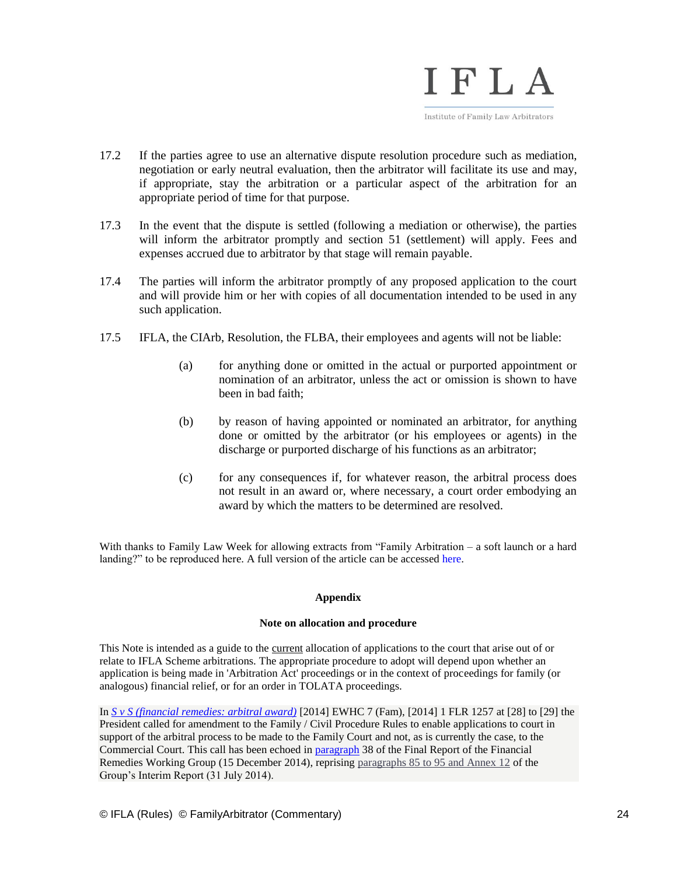

- 17.2 If the parties agree to use an alternative dispute resolution procedure such as mediation, negotiation or early neutral evaluation, then the arbitrator will facilitate its use and may, if appropriate, stay the arbitration or a particular aspect of the arbitration for an appropriate period of time for that purpose.
- 17.3 In the event that the dispute is settled (following a mediation or otherwise), the parties will inform the arbitrator promptly and section 51 (settlement) will apply. Fees and expenses accrued due to arbitrator by that stage will remain payable.
- 17.4 The parties will inform the arbitrator promptly of any proposed application to the court and will provide him or her with copies of all documentation intended to be used in any such application.
- 17.5 IFLA, the CIArb, Resolution, the FLBA, their employees and agents will not be liable:
	- (a) for anything done or omitted in the actual or purported appointment or nomination of an arbitrator, unless the act or omission is shown to have been in bad faith;
	- (b) by reason of having appointed or nominated an arbitrator, for anything done or omitted by the arbitrator (or his employees or agents) in the discharge or purported discharge of his functions as an arbitrator;
	- (c) for any consequences if, for whatever reason, the arbitral process does not result in an award or, where necessary, a court order embodying an award by which the matters to be determined are resolved.

With thanks to Family Law Week for allowing extracts from "Family Arbitration – a soft launch or a hard landing?" to be reproduced [here.](http://www.familylawweek.co.uk/site.aspx?i=ed96021) A full version of the article can be accessed here.

# **Appendix**

# **Note on allocation and procedure**

This Note is intended as a guide to the current allocation of applications to the court that arise out of or relate to IFLA Scheme arbitrations. The appropriate procedure to adopt will depend upon whether an application is being made in 'Arbitration Act' proceedings or in the context of proceedings for family (or analogous) financial relief, or for an order in TOLATA proceedings.

In *[S v S \(financial remedies: arbitral award\)](http://www.bailii.org/ew/cases/EWHC/Fam/2014/7.html)* [2014] EWHC 7 (Fam), [2014] 1 FLR 1257 at [28] to [29] the President called for amendment to the Family / Civil Procedure Rules to enable applications to court in support of the arbitral process to be made to the Family Court and not, as is currently the case, to the Commercial Court. This call has been echoed in [paragraph](https://www.judiciary.gov.uk/publications/financial-remedies-working-group-report/) 38 of the Final Report of the Financial Remedies Working Group (15 December 2014), reprising [paragraphs 85 to 95 and Annex 12](http://www.familyarbitrator.com/arbitration-specific-extracts-report-financial-remedies-working-group) of the Group's Interim Report (31 July 2014).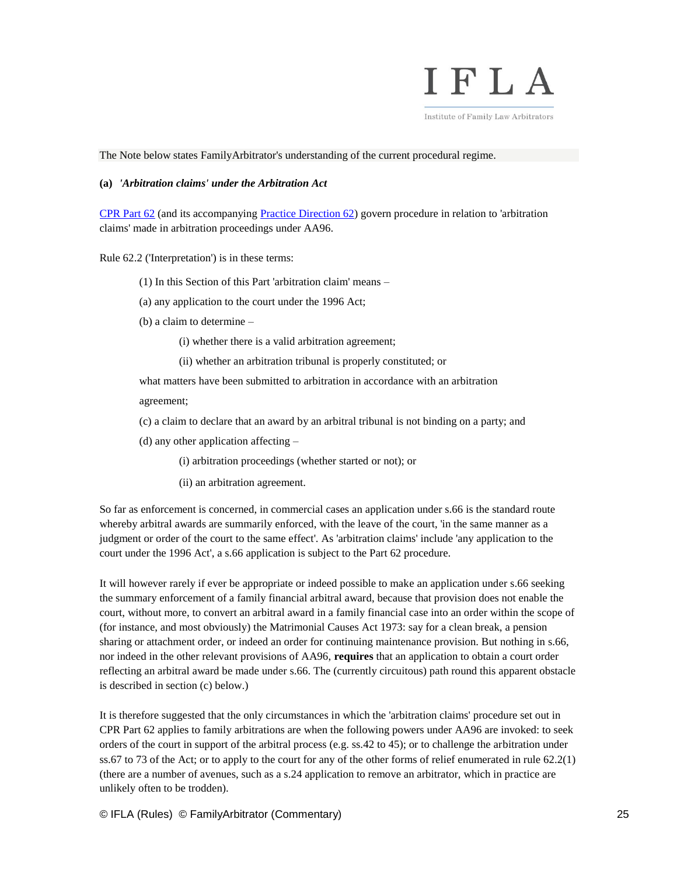

Institute of Family Law Arbitrators

The Note below states FamilyArbitrator's understanding of the current procedural regime.

### **(a)** *'Arbitration claims' under the Arbitration Act*

[CPR Part 62](http://www.justice.gov.uk/courts/procedure-rules/civil/rules/part62#id4542040) (and its accompanying [Practice Direction 62\)](http://www.justice.gov.uk/courts/procedure-rules/civil/rules/pd_part62) govern procedure in relation to 'arbitration claims' made in arbitration proceedings under AA96.

Rule 62.2 ('Interpretation') is in these terms:

- (1) In this Section of this Part 'arbitration claim' means –
- (a) any application to the court under the 1996 Act;
- (b) a claim to determine
	- (i) whether there is a valid arbitration agreement;
	- (ii) whether an arbitration tribunal is properly constituted; or

what matters have been submitted to arbitration in accordance with an arbitration

agreement;

- (c) a claim to declare that an award by an arbitral tribunal is not binding on a party; and
- (d) any other application affecting
	- (i) arbitration proceedings (whether started or not); or
	- (ii) an arbitration agreement.

So far as enforcement is concerned, in commercial cases an application under s.66 is the standard route whereby arbitral awards are summarily enforced, with the leave of the court, 'in the same manner as a judgment or order of the court to the same effect'. As 'arbitration claims' include 'any application to the court under the 1996 Act', a s.66 application is subject to the Part 62 procedure.

It will however rarely if ever be appropriate or indeed possible to make an application under s.66 seeking the summary enforcement of a family financial arbitral award, because that provision does not enable the court, without more, to convert an arbitral award in a family financial case into an order within the scope of (for instance, and most obviously) the Matrimonial Causes Act 1973: say for a clean break, a pension sharing or attachment order, or indeed an order for continuing maintenance provision. But nothing in s.66, nor indeed in the other relevant provisions of AA96, **requires** that an application to obtain a court order reflecting an arbitral award be made under s.66. The (currently circuitous) path round this apparent obstacle is described in section (c) below.)

It is therefore suggested that the only circumstances in which the 'arbitration claims' procedure set out in CPR Part 62 applies to family arbitrations are when the following powers under AA96 are invoked: to seek orders of the court in support of the arbitral process (e.g. ss.42 to 45); or to challenge the arbitration under ss.67 to 73 of the Act; or to apply to the court for any of the other forms of relief enumerated in rule 62.2(1) (there are a number of avenues, such as a s.24 application to remove an arbitrator, which in practice are unlikely often to be trodden).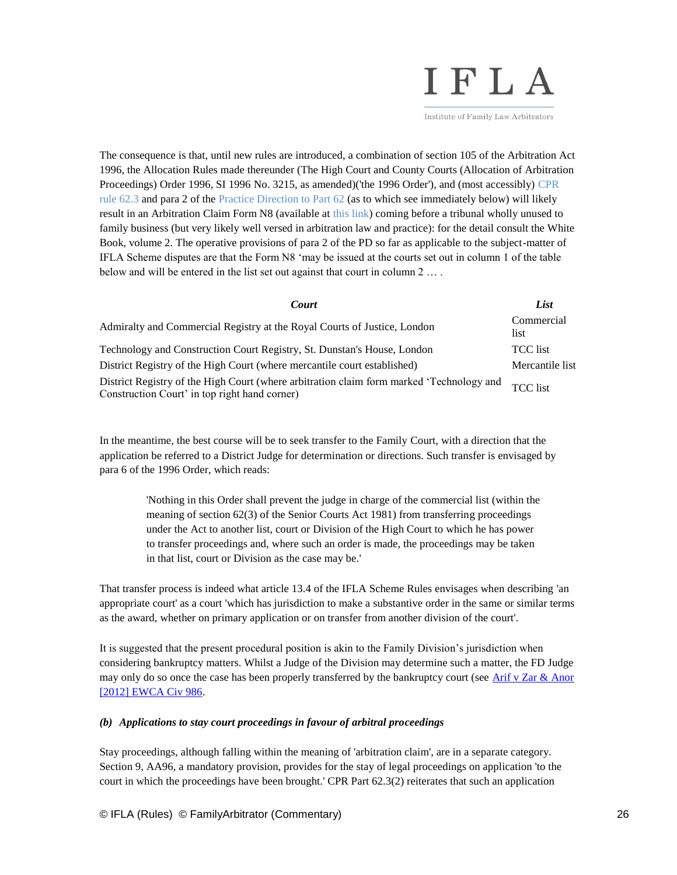# IFLA

Institute of Family Law Arbitrators

The consequence is that, until new rules are introduced, a combination of section 105 of the Arbitration Act 1996, the Allocation Rules made thereunder (The High Court and County Courts (Allocation of Arbitration Proceedings) Order 1996, SI 1996 No. 3215, as amended)('the 1996 Order'), and (most accessibly) [CPR](http://www.justice.gov.uk/courts/procedure-rules/civil/rules/part62#id4542040)  [rule 62.3](http://www.justice.gov.uk/courts/procedure-rules/civil/rules/part62#id4542040) and para 2 of th[e Practice Direction to Part 62](http://www.justice.gov.uk/courts/procedure-rules/civil/rules/pd_part62) (as to which see immediately below) will likely result in an Arbitration Claim Form N8 (available at [this link\)](http://hmctscourtfinder.justice.gov.uk/HMCTS/GetForm.do?court_forms_id=643) coming before a tribunal wholly unused to family business (but very likely well versed in arbitration law and practice): for the detail consult the White Book, volume 2. The operative provisions of para 2 of the PD so far as applicable to the subject-matter of IFLA Scheme disputes are that the Form N8 'may be issued at the courts set out in column 1 of the table below and will be entered in the list set out against that court in column 2 … .

| <b>Court</b>                                                                                                                              | List               |
|-------------------------------------------------------------------------------------------------------------------------------------------|--------------------|
| Admiralty and Commercial Registry at the Royal Courts of Justice, London                                                                  | Commercial<br>list |
| Technology and Construction Court Registry, St. Dunstan's House, London                                                                   | <b>TCC</b> list    |
| District Registry of the High Court (where mercantile court established)                                                                  | Mercantile list    |
| District Registry of the High Court (where arbitration claim form marked 'Technology and<br>Construction Court' in top right hand corner) | <b>TCC</b> list    |

In the meantime, the best course will be to seek transfer to the Family Court, with a direction that the application be referred to a District Judge for determination or directions. Such transfer is envisaged by para 6 of the 1996 Order, which reads:

> 'Nothing in this Order shall prevent the judge in charge of the commercial list (within the meaning of section 62(3) of the Senior Courts Act 1981) from transferring proceedings under the Act to another list, court or Division of the High Court to which he has power to transfer proceedings and, where such an order is made, the proceedings may be taken in that list, court or Division as the case may be.'

That transfer process is indeed what article 13.4 of the IFLA Scheme Rules envisages when describing 'an appropriate court' as a court 'which has jurisdiction to make a substantive order in the same or similar terms as the award, whether on primary application or on transfer from another division of the court'.

It is suggested that the present procedural position is akin to the Family Division's jurisdiction when considering bankruptcy matters. Whilst a Judge of the Division may determine such a matter, the FD Judge may only do so once the case has been properly transferred by the bankruptcy court (see Arif v Zar & Anor [\[2012\] EWCA Civ 986.](http://www.bailii.org/ew/cases/EWCA/Civ/2012/986.html)

# *(b) Applications to stay court proceedings in favour of arbitral proceedings*

Stay proceedings, although falling within the meaning of 'arbitration claim', are in a separate category. Section 9, AA96, a mandatory provision, provides for the stay of legal proceedings on application 'to the court in which the proceedings have been brought.' CPR Part 62.3(2) reiterates that such an application